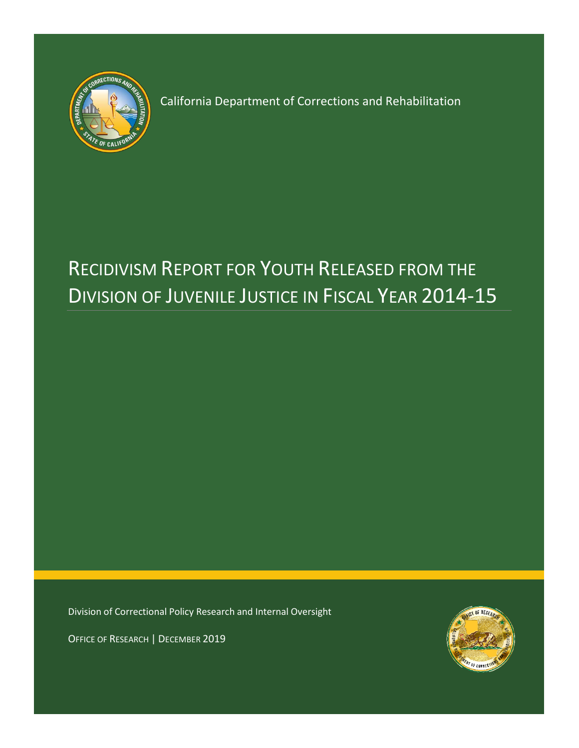

California Department of Corrections and Rehabilitation

# RECIDIVISM REPORT FOR YOUTH RELEASED FROM THE DIVISION OF JUVENILE JUSTICE IN FISCAL YEAR 2014-15

Division of Correctional Policy Research and Internal Oversight

OFFICE OF RESEARCH | DECEMBER 2019

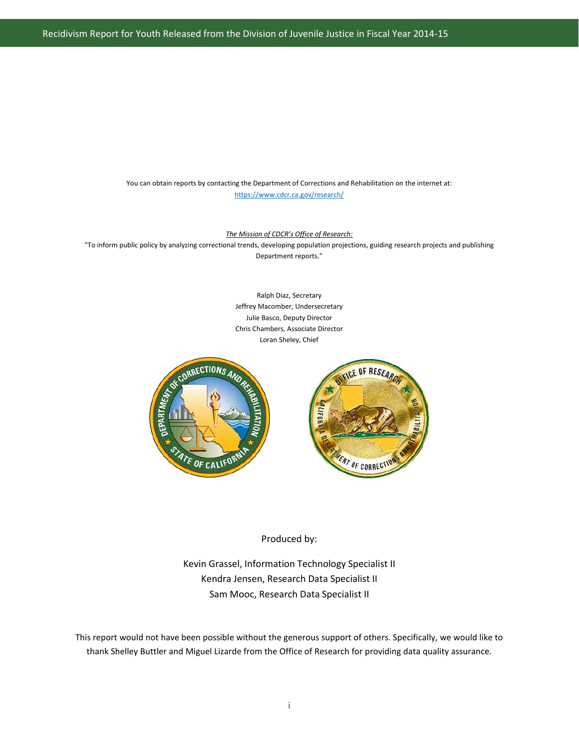Recidivism Report for Youth Released from the Division of Juvenile Justice in Fiscal Year 2014-15

You can obtain reports by contacting the Department of Corrections and Rehabilitation on the internet at: <https://www.cdcr.ca.gov/research/>

*The Mission of CDCR's Office of Research:*

"To inform public policy by analyzing correctional trends, developing population projections, guiding research projects and publishing Department reports."

> Ralph Diaz, Secretary Jeffrey Macomber, Undersecretary Julie Basco, Deputy Director Chris Chambers, Associate Director Loran Sheley, Chief



#### Produced by:

Kevin Grassel, Information Technology Specialist II Kendra Jensen, Research Data Specialist II Sam Mooc, Research Data Specialist II

This report would not have been possible without the generous support of others. Specifically, we would like to thank Shelley Buttler and Miguel Lizarde from the Office of Research for providing data quality assurance.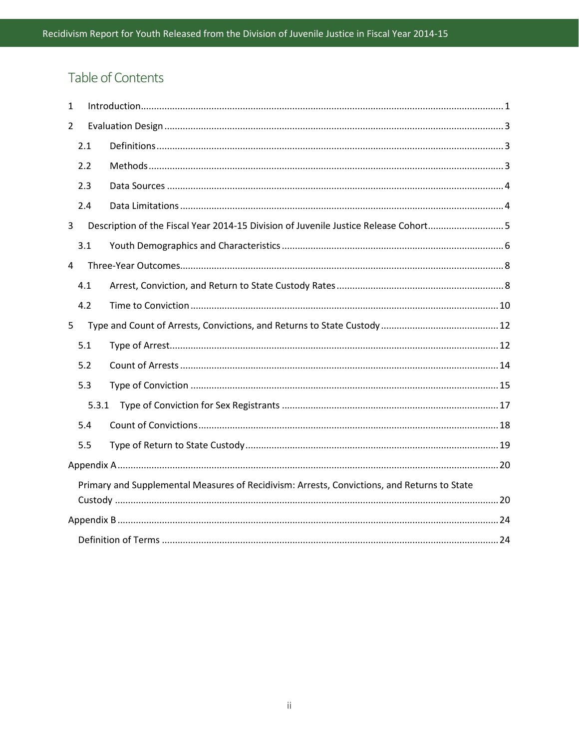# Table of Contents

| 1              |       |                                                                                             |
|----------------|-------|---------------------------------------------------------------------------------------------|
| $\overline{2}$ |       |                                                                                             |
|                | 2.1   |                                                                                             |
|                | 2.2   |                                                                                             |
|                | 2.3   |                                                                                             |
|                | 2.4   |                                                                                             |
| 3              |       | Description of the Fiscal Year 2014-15 Division of Juvenile Justice Release Cohort5         |
|                | 3.1   |                                                                                             |
| $\overline{4}$ |       |                                                                                             |
|                | 4.1   |                                                                                             |
|                | 4.2   |                                                                                             |
| 5              |       |                                                                                             |
|                | 5.1   |                                                                                             |
|                | 5.2   |                                                                                             |
|                | 5.3   |                                                                                             |
|                | 5.3.1 |                                                                                             |
|                | 5.4   |                                                                                             |
|                | 5.5   |                                                                                             |
|                |       |                                                                                             |
|                |       | Primary and Supplemental Measures of Recidivism: Arrests, Convictions, and Returns to State |
|                |       |                                                                                             |
|                |       |                                                                                             |
|                |       |                                                                                             |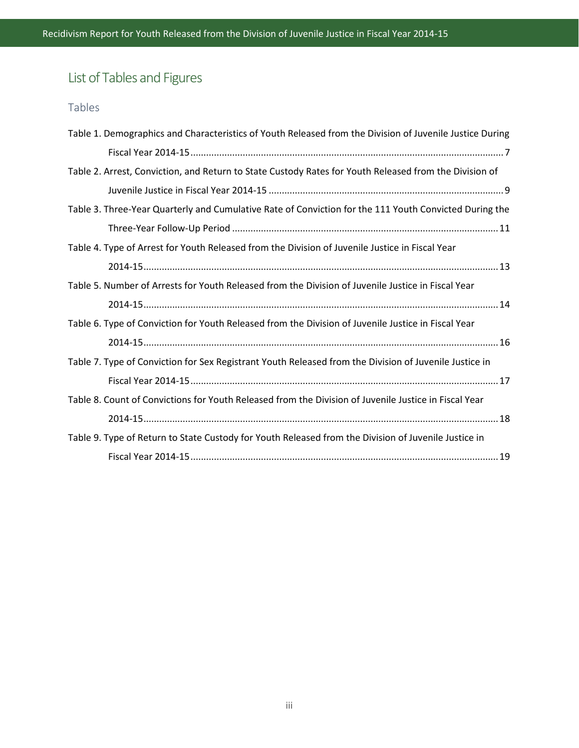# List of Tables and Figures

# Tables

| Table 1. Demographics and Characteristics of Youth Released from the Division of Juvenile Justice During |  |
|----------------------------------------------------------------------------------------------------------|--|
|                                                                                                          |  |
| Table 2. Arrest, Conviction, and Return to State Custody Rates for Youth Released from the Division of   |  |
|                                                                                                          |  |
| Table 3. Three-Year Quarterly and Cumulative Rate of Conviction for the 111 Youth Convicted During the   |  |
|                                                                                                          |  |
| Table 4. Type of Arrest for Youth Released from the Division of Juvenile Justice in Fiscal Year          |  |
|                                                                                                          |  |
| Table 5. Number of Arrests for Youth Released from the Division of Juvenile Justice in Fiscal Year       |  |
|                                                                                                          |  |
| Table 6. Type of Conviction for Youth Released from the Division of Juvenile Justice in Fiscal Year      |  |
|                                                                                                          |  |
| Table 7. Type of Conviction for Sex Registrant Youth Released from the Division of Juvenile Justice in   |  |
|                                                                                                          |  |
| Table 8. Count of Convictions for Youth Released from the Division of Juvenile Justice in Fiscal Year    |  |
|                                                                                                          |  |
| Table 9. Type of Return to State Custody for Youth Released from the Division of Juvenile Justice in     |  |
|                                                                                                          |  |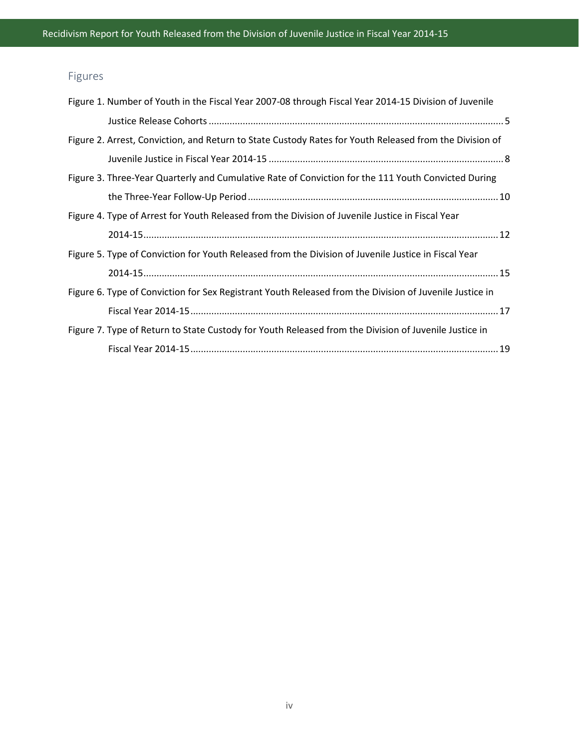# Figures

| Figure 1. Number of Youth in the Fiscal Year 2007-08 through Fiscal Year 2014-15 Division of Juvenile   |  |
|---------------------------------------------------------------------------------------------------------|--|
|                                                                                                         |  |
| Figure 2. Arrest, Conviction, and Return to State Custody Rates for Youth Released from the Division of |  |
|                                                                                                         |  |
| Figure 3. Three-Year Quarterly and Cumulative Rate of Conviction for the 111 Youth Convicted During     |  |
|                                                                                                         |  |
| Figure 4. Type of Arrest for Youth Released from the Division of Juvenile Justice in Fiscal Year        |  |
|                                                                                                         |  |
| Figure 5. Type of Conviction for Youth Released from the Division of Juvenile Justice in Fiscal Year    |  |
|                                                                                                         |  |
| Figure 6. Type of Conviction for Sex Registrant Youth Released from the Division of Juvenile Justice in |  |
|                                                                                                         |  |
| Figure 7. Type of Return to State Custody for Youth Released from the Division of Juvenile Justice in   |  |
|                                                                                                         |  |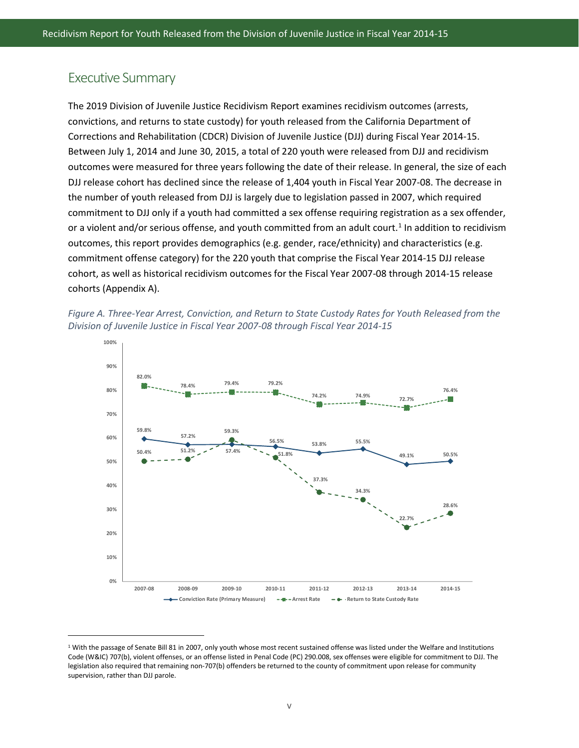### Executive Summary

 $\overline{\phantom{a}}$ 

The 2019 Division of Juvenile Justice Recidivism Report examines recidivism outcomes (arrests, convictions, and returns to state custody) for youth released from the California Department of Corrections and Rehabilitation (CDCR) Division of Juvenile Justice (DJJ) during Fiscal Year 2014-15. Between July 1, 2014 and June 30, 2015, a total of 220 youth were released from DJJ and recidivism outcomes were measured for three years following the date of their release. In general, the size of each DJJ release cohort has declined since the release of 1,404 youth in Fiscal Year 2007-08. The decrease in the number of youth released from DJJ is largely due to legislation passed in 2007, which required commitment to DJJ only if a youth had committed a sex offense requiring registration as a sex offender, or a violent and/or serious offense, and youth committed from an adult court.<sup>1</sup> In addition to recidivism outcomes, this report provides demographics (e.g. gender, race/ethnicity) and characteristics (e.g. commitment offense category) for the 220 youth that comprise the Fiscal Year 2014-15 DJJ release cohort, as well as historical recidivism outcomes for the Fiscal Year 2007-08 through 2014-15 release cohorts (Appendix A).





<span id="page-5-0"></span><sup>&</sup>lt;sup>1</sup> With the passage of Senate Bill 81 in 2007, only youth whose most recent sustained offense was listed under the Welfare and Institutions Code (W&IC) 707(b), violent offenses, or an offense listed in Penal Code (PC) 290.008, sex offenses were eligible for commitment to DJJ. The legislation also required that remaining non-707(b) offenders be returned to the county of commitment upon release for community supervision, rather than DJJ parole.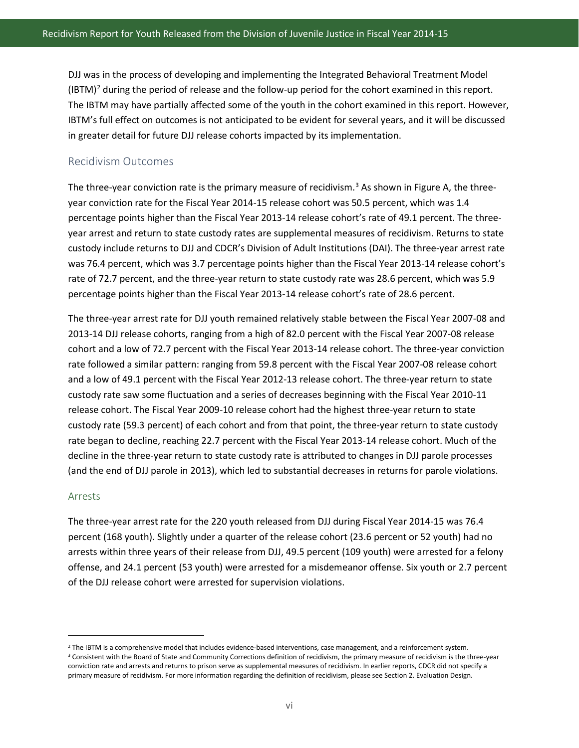DJJ was in the process of developing and implementing the Integrated Behavioral Treatment Model  $(IBTM)^2$  $(IBTM)^2$  during the period of release and the follow-up period for the cohort examined in this report. The IBTM may have partially affected some of the youth in the cohort examined in this report. However, IBTM's full effect on outcomes is not anticipated to be evident for several years, and it will be discussed in greater detail for future DJJ release cohorts impacted by its implementation.

#### Recidivism Outcomes

The three-year conviction rate is the primary measure of recidivism.<sup>[3](#page-6-1)</sup> As shown in Figure A, the threeyear conviction rate for the Fiscal Year 2014-15 release cohort was 50.5 percent, which was 1.4 percentage points higher than the Fiscal Year 2013-14 release cohort's rate of 49.1 percent. The threeyear arrest and return to state custody rates are supplemental measures of recidivism. Returns to state custody include returns to DJJ and CDCR's Division of Adult Institutions (DAI). The three-year arrest rate was 76.4 percent, which was 3.7 percentage points higher than the Fiscal Year 2013-14 release cohort's rate of 72.7 percent, and the three-year return to state custody rate was 28.6 percent, which was 5.9 percentage points higher than the Fiscal Year 2013-14 release cohort's rate of 28.6 percent.

The three-year arrest rate for DJJ youth remained relatively stable between the Fiscal Year 2007-08 and 2013-14 DJJ release cohorts, ranging from a high of 82.0 percent with the Fiscal Year 2007-08 release cohort and a low of 72.7 percent with the Fiscal Year 2013-14 release cohort. The three-year conviction rate followed a similar pattern: ranging from 59.8 percent with the Fiscal Year 2007-08 release cohort and a low of 49.1 percent with the Fiscal Year 2012-13 release cohort. The three-year return to state custody rate saw some fluctuation and a series of decreases beginning with the Fiscal Year 2010-11 release cohort. The Fiscal Year 2009-10 release cohort had the highest three-year return to state custody rate (59.3 percent) of each cohort and from that point, the three-year return to state custody rate began to decline, reaching 22.7 percent with the Fiscal Year 2013-14 release cohort. Much of the decline in the three-year return to state custody rate is attributed to changes in DJJ parole processes (and the end of DJJ parole in 2013), which led to substantial decreases in returns for parole violations.

#### Arrests

 $\overline{\phantom{a}}$ 

The three-year arrest rate for the 220 youth released from DJJ during Fiscal Year 2014-15 was 76.4 percent (168 youth). Slightly under a quarter of the release cohort (23.6 percent or 52 youth) had no arrests within three years of their release from DJJ, 49.5 percent (109 youth) were arrested for a felony offense, and 24.1 percent (53 youth) were arrested for a misdemeanor offense. Six youth or 2.7 percent of the DJJ release cohort were arrested for supervision violations.

<span id="page-6-0"></span><sup>&</sup>lt;sup>2</sup> The IBTM is a comprehensive model that includes evidence-based interventions, case management, and a reinforcement system.

<span id="page-6-1"></span><sup>&</sup>lt;sup>3</sup> Consistent with the Board of State and Community Corrections definition of recidivism, the primary measure of recidivism is the three-year conviction rate and arrests and returns to prison serve as supplemental measures of recidivism. In earlier reports, CDCR did not specify a primary measure of recidivism. For more information regarding the definition of recidivism, please see Section 2. Evaluation Design.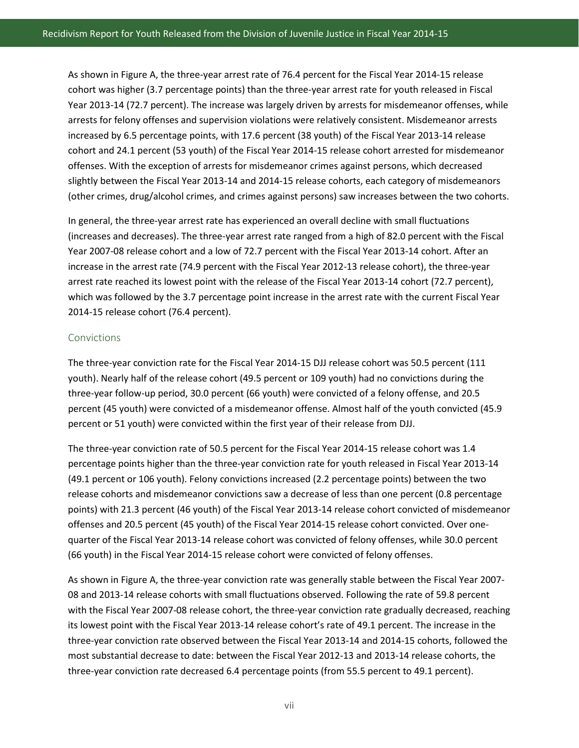As shown in Figure A, the three-year arrest rate of 76.4 percent for the Fiscal Year 2014-15 release cohort was higher (3.7 percentage points) than the three-year arrest rate for youth released in Fiscal Year 2013-14 (72.7 percent). The increase was largely driven by arrests for misdemeanor offenses, while arrests for felony offenses and supervision violations were relatively consistent. Misdemeanor arrests increased by 6.5 percentage points, with 17.6 percent (38 youth) of the Fiscal Year 2013-14 release cohort and 24.1 percent (53 youth) of the Fiscal Year 2014-15 release cohort arrested for misdemeanor offenses. With the exception of arrests for misdemeanor crimes against persons, which decreased slightly between the Fiscal Year 2013-14 and 2014-15 release cohorts, each category of misdemeanors (other crimes, drug/alcohol crimes, and crimes against persons) saw increases between the two cohorts.

In general, the three-year arrest rate has experienced an overall decline with small fluctuations (increases and decreases). The three-year arrest rate ranged from a high of 82.0 percent with the Fiscal Year 2007-08 release cohort and a low of 72.7 percent with the Fiscal Year 2013-14 cohort. After an increase in the arrest rate (74.9 percent with the Fiscal Year 2012-13 release cohort), the three-year arrest rate reached its lowest point with the release of the Fiscal Year 2013-14 cohort (72.7 percent), which was followed by the 3.7 percentage point increase in the arrest rate with the current Fiscal Year 2014-15 release cohort (76.4 percent).

#### Convictions

The three-year conviction rate for the Fiscal Year 2014-15 DJJ release cohort was 50.5 percent (111 youth). Nearly half of the release cohort (49.5 percent or 109 youth) had no convictions during the three-year follow-up period, 30.0 percent (66 youth) were convicted of a felony offense, and 20.5 percent (45 youth) were convicted of a misdemeanor offense. Almost half of the youth convicted (45.9 percent or 51 youth) were convicted within the first year of their release from DJJ.

The three-year conviction rate of 50.5 percent for the Fiscal Year 2014-15 release cohort was 1.4 percentage points higher than the three-year conviction rate for youth released in Fiscal Year 2013-14 (49.1 percent or 106 youth). Felony convictions increased (2.2 percentage points) between the two release cohorts and misdemeanor convictions saw a decrease of less than one percent (0.8 percentage points) with 21.3 percent (46 youth) of the Fiscal Year 2013-14 release cohort convicted of misdemeanor offenses and 20.5 percent (45 youth) of the Fiscal Year 2014-15 release cohort convicted. Over onequarter of the Fiscal Year 2013-14 release cohort was convicted of felony offenses, while 30.0 percent (66 youth) in the Fiscal Year 2014-15 release cohort were convicted of felony offenses.

As shown in Figure A, the three-year conviction rate was generally stable between the Fiscal Year 2007- 08 and 2013-14 release cohorts with small fluctuations observed. Following the rate of 59.8 percent with the Fiscal Year 2007-08 release cohort, the three-year conviction rate gradually decreased, reaching its lowest point with the Fiscal Year 2013-14 release cohort's rate of 49.1 percent. The increase in the three-year conviction rate observed between the Fiscal Year 2013-14 and 2014-15 cohorts, followed the most substantial decrease to date: between the Fiscal Year 2012-13 and 2013-14 release cohorts, the three-year conviction rate decreased 6.4 percentage points (from 55.5 percent to 49.1 percent).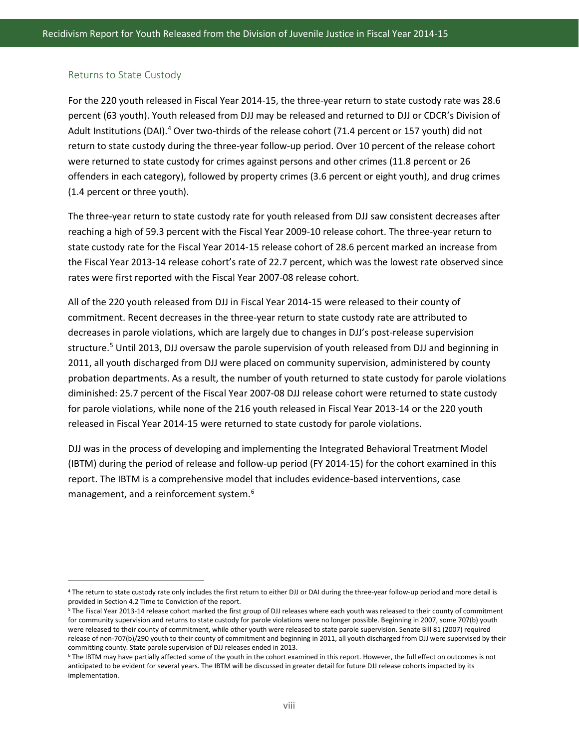#### Returns to State Custody

 $\overline{\phantom{a}}$ 

For the 220 youth released in Fiscal Year 2014-15, the three-year return to state custody rate was 28.6 percent (63 youth). Youth released from DJJ may be released and returned to DJJ or CDCR's Division of Adult Institutions (DAI).<sup>[4](#page-8-0)</sup> Over two-thirds of the release cohort (71.4 percent or 157 youth) did not return to state custody during the three-year follow-up period. Over 10 percent of the release cohort were returned to state custody for crimes against persons and other crimes (11.8 percent or 26 offenders in each category), followed by property crimes (3.6 percent or eight youth), and drug crimes (1.4 percent or three youth).

The three-year return to state custody rate for youth released from DJJ saw consistent decreases after reaching a high of 59.3 percent with the Fiscal Year 2009-10 release cohort. The three-year return to state custody rate for the Fiscal Year 2014-15 release cohort of 28.6 percent marked an increase from the Fiscal Year 2013-14 release cohort's rate of 22.7 percent, which was the lowest rate observed since rates were first reported with the Fiscal Year 2007-08 release cohort.

All of the 220 youth released from DJJ in Fiscal Year 2014-15 were released to their county of commitment. Recent decreases in the three-year return to state custody rate are attributed to decreases in parole violations, which are largely due to changes in DJJ's post-release supervision structure.<sup>[5](#page-8-1)</sup> Until 2013, DJJ oversaw the parole supervision of youth released from DJJ and beginning in 2011, all youth discharged from DJJ were placed on community supervision, administered by county probation departments. As a result, the number of youth returned to state custody for parole violations diminished: 25.7 percent of the Fiscal Year 2007-08 DJJ release cohort were returned to state custody for parole violations, while none of the 216 youth released in Fiscal Year 2013-14 or the 220 youth released in Fiscal Year 2014-15 were returned to state custody for parole violations.

DJJ was in the process of developing and implementing the Integrated Behavioral Treatment Model (IBTM) during the period of release and follow-up period (FY 2014-15) for the cohort examined in this report. The IBTM is a comprehensive model that includes evidence-based interventions, case management, and a reinforcement system. [6](#page-8-2)

<span id="page-8-0"></span><sup>4</sup> The return to state custody rate only includes the first return to either DJJ or DAI during the three-year follow-up period and more detail is provided in Section 4.2 Time to Conviction of the report.

<span id="page-8-1"></span><sup>&</sup>lt;sup>5</sup> The Fiscal Year 2013-14 release cohort marked the first group of DJJ releases where each youth was released to their county of commitment for community supervision and returns to state custody for parole violations were no longer possible. Beginning in 2007, some 707(b) youth were released to their county of commitment, while other youth were released to state parole supervision. Senate Bill 81 (2007) required release of non-707(b)/290 youth to their county of commitment and beginning in 2011, all youth discharged from DJJ were supervised by their committing county. State parole supervision of DJJ releases ended in 2013.

<span id="page-8-2"></span><sup>&</sup>lt;sup>6</sup> The IBTM may have partially affected some of the youth in the cohort examined in this report. However, the full effect on outcomes is not anticipated to be evident for several years. The IBTM will be discussed in greater detail for future DJJ release cohorts impacted by its implementation.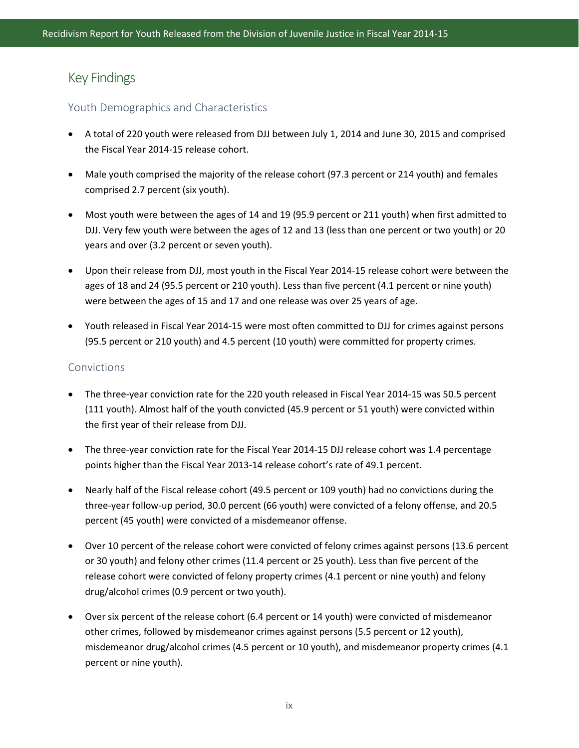## Key Findings

#### Youth Demographics and Characteristics

- A total of 220 youth were released from DJJ between July 1, 2014 and June 30, 2015 and comprised the Fiscal Year 2014-15 release cohort.
- Male youth comprised the majority of the release cohort (97.3 percent or 214 youth) and females comprised 2.7 percent (six youth).
- Most youth were between the ages of 14 and 19 (95.9 percent or 211 youth) when first admitted to DJJ. Very few youth were between the ages of 12 and 13 (less than one percent or two youth) or 20 years and over (3.2 percent or seven youth).
- Upon their release from DJJ, most youth in the Fiscal Year 2014-15 release cohort were between the ages of 18 and 24 (95.5 percent or 210 youth). Less than five percent (4.1 percent or nine youth) were between the ages of 15 and 17 and one release was over 25 years of age.
- Youth released in Fiscal Year 2014-15 were most often committed to DJJ for crimes against persons (95.5 percent or 210 youth) and 4.5 percent (10 youth) were committed for property crimes.

#### Convictions

- The three-year conviction rate for the 220 youth released in Fiscal Year 2014-15 was 50.5 percent (111 youth). Almost half of the youth convicted (45.9 percent or 51 youth) were convicted within the first year of their release from DJJ.
- The three-year conviction rate for the Fiscal Year 2014-15 DJJ release cohort was 1.4 percentage points higher than the Fiscal Year 2013-14 release cohort's rate of 49.1 percent.
- Nearly half of the Fiscal release cohort (49.5 percent or 109 youth) had no convictions during the three-year follow-up period, 30.0 percent (66 youth) were convicted of a felony offense, and 20.5 percent (45 youth) were convicted of a misdemeanor offense.
- Over 10 percent of the release cohort were convicted of felony crimes against persons (13.6 percent or 30 youth) and felony other crimes (11.4 percent or 25 youth). Less than five percent of the release cohort were convicted of felony property crimes (4.1 percent or nine youth) and felony drug/alcohol crimes (0.9 percent or two youth).
- Over six percent of the release cohort (6.4 percent or 14 youth) were convicted of misdemeanor other crimes, followed by misdemeanor crimes against persons (5.5 percent or 12 youth), misdemeanor drug/alcohol crimes (4.5 percent or 10 youth), and misdemeanor property crimes (4.1 percent or nine youth).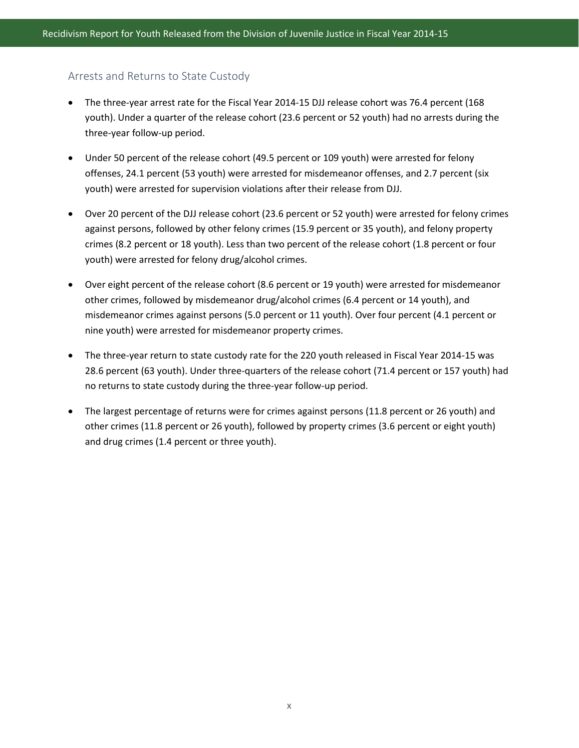#### Arrests and Returns to State Custody

- The three-year arrest rate for the Fiscal Year 2014-15 DJJ release cohort was 76.4 percent (168 youth). Under a quarter of the release cohort (23.6 percent or 52 youth) had no arrests during the three-year follow-up period.
- Under 50 percent of the release cohort (49.5 percent or 109 youth) were arrested for felony offenses, 24.1 percent (53 youth) were arrested for misdemeanor offenses, and 2.7 percent (six youth) were arrested for supervision violations after their release from DJJ.
- Over 20 percent of the DJJ release cohort (23.6 percent or 52 youth) were arrested for felony crimes against persons, followed by other felony crimes (15.9 percent or 35 youth), and felony property crimes (8.2 percent or 18 youth). Less than two percent of the release cohort (1.8 percent or four youth) were arrested for felony drug/alcohol crimes.
- Over eight percent of the release cohort (8.6 percent or 19 youth) were arrested for misdemeanor other crimes, followed by misdemeanor drug/alcohol crimes (6.4 percent or 14 youth), and misdemeanor crimes against persons (5.0 percent or 11 youth). Over four percent (4.1 percent or nine youth) were arrested for misdemeanor property crimes.
- The three-year return to state custody rate for the 220 youth released in Fiscal Year 2014-15 was 28.6 percent (63 youth). Under three-quarters of the release cohort (71.4 percent or 157 youth) had no returns to state custody during the three-year follow-up period.
- The largest percentage of returns were for crimes against persons (11.8 percent or 26 youth) and other crimes (11.8 percent or 26 youth), followed by property crimes (3.6 percent or eight youth) and drug crimes (1.4 percent or three youth).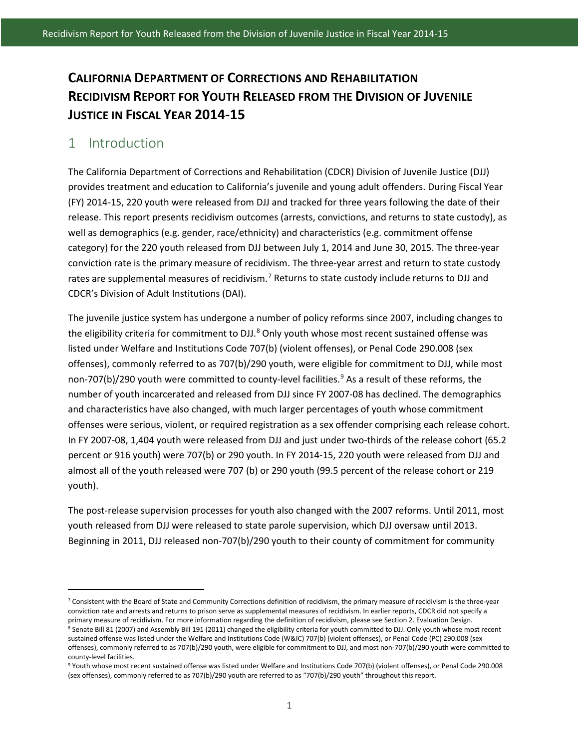# **CALIFORNIA DEPARTMENT OF CORRECTIONS AND REHABILITATION RECIDIVISM REPORT FOR YOUTH RELEASED FROM THE DIVISION OF JUVENILE JUSTICE IN FISCAL YEAR 2014-15**

### <span id="page-11-0"></span>1 Introduction

 $\overline{\phantom{a}}$ 

The California Department of Corrections and Rehabilitation (CDCR) Division of Juvenile Justice (DJJ) provides treatment and education to California's juvenile and young adult offenders. During Fiscal Year (FY) 2014-15, 220 youth were released from DJJ and tracked for three years following the date of their release. This report presents recidivism outcomes (arrests, convictions, and returns to state custody), as well as demographics (e.g. gender, race/ethnicity) and characteristics (e.g. commitment offense category) for the 220 youth released from DJJ between July 1, 2014 and June 30, 2015. The three-year conviction rate is the primary measure of recidivism. The three-year arrest and return to state custody rates are supplemental measures of recidivism.<sup>[7](#page-11-1)</sup> Returns to state custody include returns to DJJ and CDCR's Division of Adult Institutions (DAI).

The juvenile justice system has undergone a number of policy reforms since 2007, including changes to the eligibility criteria for commitment to DJJ.<sup>[8](#page-11-2)</sup> Only youth whose most recent sustained offense was listed under Welfare and Institutions Code 707(b) (violent offenses), or Penal Code 290.008 (sex offenses), commonly referred to as 707(b)/290 youth, were eligible for commitment to DJJ, while most non-707(b)/2[9](#page-11-3)0 youth were committed to county-level facilities.<sup>9</sup> As a result of these reforms, the number of youth incarcerated and released from DJJ since FY 2007-08 has declined. The demographics and characteristics have also changed, with much larger percentages of youth whose commitment offenses were serious, violent, or required registration as a sex offender comprising each release cohort. In FY 2007-08, 1,404 youth were released from DJJ and just under two-thirds of the release cohort (65.2 percent or 916 youth) were 707(b) or 290 youth. In FY 2014-15, 220 youth were released from DJJ and almost all of the youth released were 707 (b) or 290 youth (99.5 percent of the release cohort or 219 youth).

The post-release supervision processes for youth also changed with the 2007 reforms. Until 2011, most youth released from DJJ were released to state parole supervision, which DJJ oversaw until 2013. Beginning in 2011, DJJ released non-707(b)/290 youth to their county of commitment for community

<span id="page-11-1"></span><sup>&</sup>lt;sup>7</sup> Consistent with the Board of State and Community Corrections definition of recidivism, the primary measure of recidivism is the three-year conviction rate and arrests and returns to prison serve as supplemental measures of recidivism. In earlier reports, CDCR did not specify a primary measure of recidivism. For more information regarding the definition of recidivism, please see Section 2. Evaluation Design.

<span id="page-11-2"></span><sup>&</sup>lt;sup>8</sup> Senate Bill 81 (2007) and Assembly Bill 191 (2011) changed the eligibility criteria for youth committed to DJJ. Only youth whose most recent sustained offense was listed under the Welfare and Institutions Code (W&IC) 707(b) (violent offenses), or Penal Code (PC) 290.008 (sex offenses), commonly referred to as 707(b)/290 youth, were eligible for commitment to DJJ, and most non-707(b)/290 youth were committed to county-level facilities.

<span id="page-11-3"></span><sup>9</sup> Youth whose most recent sustained offense was listed under Welfare and Institutions Code 707(b) (violent offenses), or Penal Code 290.008 (sex offenses), commonly referred to as 707(b)/290 youth are referred to as "707(b)/290 youth" throughout this report.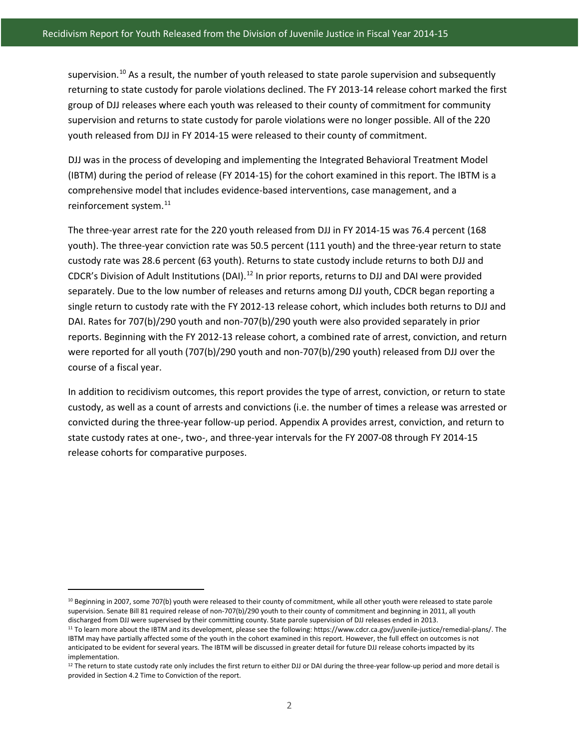supervision.<sup>[10](#page-12-0)</sup> As a result, the number of youth released to state parole supervision and subsequently returning to state custody for parole violations declined. The FY 2013-14 release cohort marked the first group of DJJ releases where each youth was released to their county of commitment for community supervision and returns to state custody for parole violations were no longer possible. All of the 220 youth released from DJJ in FY 2014-15 were released to their county of commitment.

DJJ was in the process of developing and implementing the Integrated Behavioral Treatment Model (IBTM) during the period of release (FY 2014-15) for the cohort examined in this report. The IBTM is a comprehensive model that includes evidence-based interventions, case management, and a reinforcement system.<sup>[11](#page-12-1)</sup>

The three-year arrest rate for the 220 youth released from DJJ in FY 2014-15 was 76.4 percent (168 youth). The three-year conviction rate was 50.5 percent (111 youth) and the three-year return to state custody rate was 28.6 percent (63 youth). Returns to state custody include returns to both DJJ and CDCR's Division of Adult Institutions (DAI).[12](#page-12-2) In prior reports, returns to DJJ and DAI were provided separately. Due to the low number of releases and returns among DJJ youth, CDCR began reporting a single return to custody rate with the FY 2012-13 release cohort, which includes both returns to DJJ and DAI. Rates for 707(b)/290 youth and non-707(b)/290 youth were also provided separately in prior reports. Beginning with the FY 2012-13 release cohort, a combined rate of arrest, conviction, and return were reported for all youth (707(b)/290 youth and non-707(b)/290 youth) released from DJJ over the course of a fiscal year.

In addition to recidivism outcomes, this report provides the type of arrest, conviction, or return to state custody, as well as a count of arrests and convictions (i.e. the number of times a release was arrested or convicted during the three-year follow-up period. Appendix A provides arrest, conviction, and return to state custody rates at one-, two-, and three-year intervals for the FY 2007-08 through FY 2014-15 release cohorts for comparative purposes.

 $\overline{\phantom{a}}$ 

<span id="page-12-0"></span><sup>&</sup>lt;sup>10</sup> Beginning in 2007, some 707(b) youth were released to their county of commitment, while all other youth were released to state parole supervision. Senate Bill 81 required release of non-707(b)/290 youth to their county of commitment and beginning in 2011, all youth discharged from DJJ were supervised by their committing county. State parole supervision of DJJ releases ended in 2013.

<span id="page-12-1"></span><sup>11</sup> To learn more about the IBTM and its development, please see the following: https://www.cdcr.ca.gov/juvenile-justice/remedial-plans/. The IBTM may have partially affected some of the youth in the cohort examined in this report. However, the full effect on outcomes is not anticipated to be evident for several years. The IBTM will be discussed in greater detail for future DJJ release cohorts impacted by its implementation.

<span id="page-12-2"></span> $12$  The return to state custody rate only includes the first return to either DJJ or DAI during the three-year follow-up period and more detail is provided in Section 4.2 Time to Conviction of the report.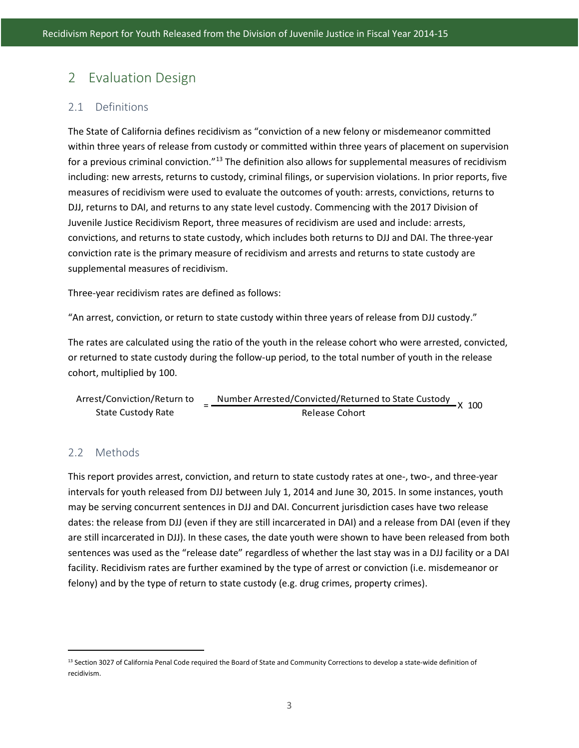# <span id="page-13-0"></span>2 Evaluation Design

#### <span id="page-13-1"></span>2.1 Definitions

The State of California defines recidivism as "conviction of a new felony or misdemeanor committed within three years of release from custody or committed within three years of placement on supervision for a previous criminal conviction."<sup>[13](#page-13-3)</sup> The definition also allows for supplemental measures of recidivism including: new arrests, returns to custody, criminal filings, or supervision violations. In prior reports, five measures of recidivism were used to evaluate the outcomes of youth: arrests, convictions, returns to DJJ, returns to DAI, and returns to any state level custody. Commencing with the 2017 Division of Juvenile Justice Recidivism Report, three measures of recidivism are used and include: arrests, convictions, and returns to state custody, which includes both returns to DJJ and DAI. The three-year conviction rate is the primary measure of recidivism and arrests and returns to state custody are supplemental measures of recidivism.

Three-year recidivism rates are defined as follows:

"An arrest, conviction, or return to state custody within three years of release from DJJ custody."

The rates are calculated using the ratio of the youth in the release cohort who were arrested, convicted, or returned to state custody during the follow-up period, to the total number of youth in the release cohort, multiplied by 100.

| Arrest/Conviction/Return to | Number Arrested/Convicted/Returned to State Custody | $\frac{1}{2}$ x 100 |  |
|-----------------------------|-----------------------------------------------------|---------------------|--|
| State Custody Rate          | Release Cohort                                      |                     |  |

#### <span id="page-13-2"></span>2.2 Methods

l

This report provides arrest, conviction, and return to state custody rates at one-, two-, and three-year intervals for youth released from DJJ between July 1, 2014 and June 30, 2015. In some instances, youth may be serving concurrent sentences in DJJ and DAI. Concurrent jurisdiction cases have two release dates: the release from DJJ (even if they are still incarcerated in DAI) and a release from DAI (even if they are still incarcerated in DJJ). In these cases, the date youth were shown to have been released from both sentences was used as the "release date" regardless of whether the last stay was in a DJJ facility or a DAI facility. Recidivism rates are further examined by the type of arrest or conviction (i.e. misdemeanor or felony) and by the type of return to state custody (e.g. drug crimes, property crimes).

<span id="page-13-3"></span><sup>&</sup>lt;sup>13</sup> Section 3027 of California Penal Code required the Board of State and Community Corrections to develop a state-wide definition of recidivism.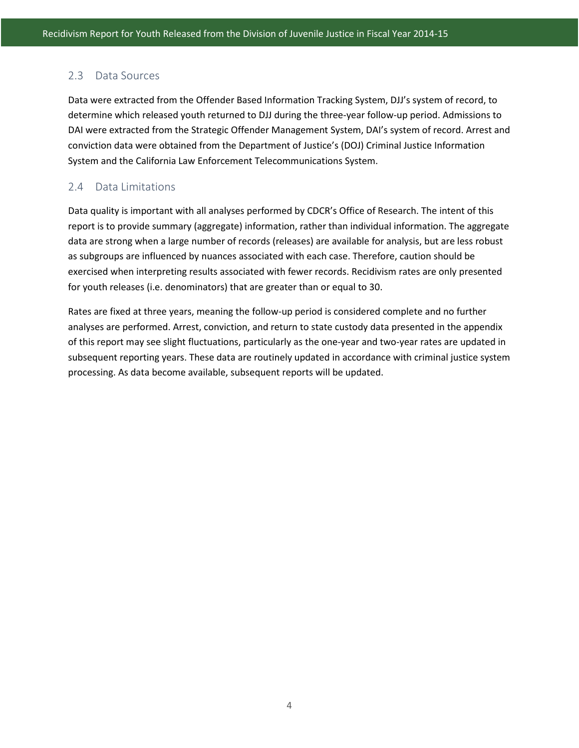#### <span id="page-14-0"></span>2.3 Data Sources

Data were extracted from the Offender Based Information Tracking System, DJJ's system of record, to determine which released youth returned to DJJ during the three-year follow-up period. Admissions to DAI were extracted from the Strategic Offender Management System, DAI's system of record. Arrest and conviction data were obtained from the Department of Justice's (DOJ) Criminal Justice Information System and the California Law Enforcement Telecommunications System.

### <span id="page-14-1"></span>2.4 Data Limitations

Data quality is important with all analyses performed by CDCR's Office of Research. The intent of this report is to provide summary (aggregate) information, rather than individual information. The aggregate data are strong when a large number of records (releases) are available for analysis, but are less robust as subgroups are influenced by nuances associated with each case. Therefore, caution should be exercised when interpreting results associated with fewer records. Recidivism rates are only presented for youth releases (i.e. denominators) that are greater than or equal to 30.

Rates are fixed at three years, meaning the follow-up period is considered complete and no further analyses are performed. Arrest, conviction, and return to state custody data presented in the appendix of this report may see slight fluctuations, particularly as the one-year and two-year rates are updated in subsequent reporting years. These data are routinely updated in accordance with criminal justice system processing. As data become available, subsequent reports will be updated.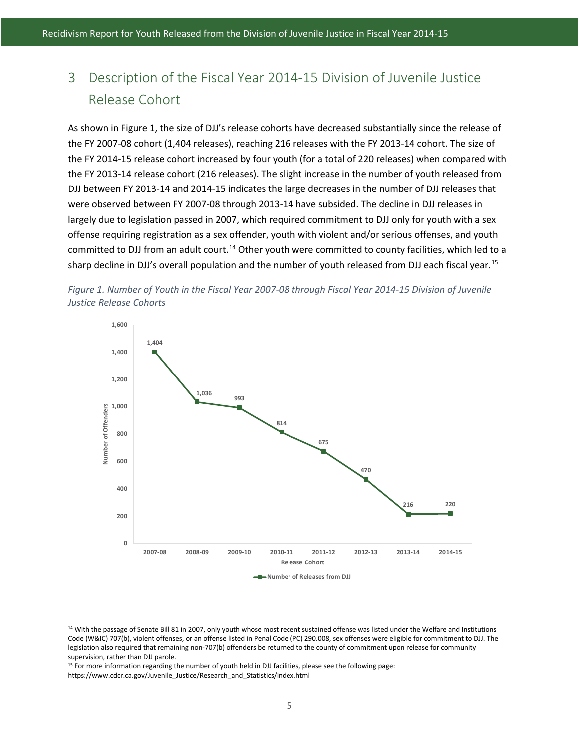# <span id="page-15-0"></span>3 Description of the Fiscal Year 2014-15 Division of Juvenile Justice Release Cohort

As shown in Figure 1, the size of DJJ's release cohorts have decreased substantially since the release of the FY 2007-08 cohort (1,404 releases), reaching 216 releases with the FY 2013-14 cohort. The size of the FY 2014-15 release cohort increased by four youth (for a total of 220 releases) when compared with the FY 2013-14 release cohort (216 releases). The slight increase in the number of youth released from DJJ between FY 2013-14 and 2014-15 indicates the large decreases in the number of DJJ releases that were observed between FY 2007-08 through 2013-14 have subsided. The decline in DJJ releases in largely due to legislation passed in 2007, which required commitment to DJJ only for youth with a sex offense requiring registration as a sex offender, youth with violent and/or serious offenses, and youth committed to DJJ from an adult court.<sup>[14](#page-15-2)</sup> Other youth were committed to county facilities, which led to a sharp decline in DJJ's overall population and the number of youth released from DJJ each fiscal year.<sup>[15](#page-15-3)</sup>

<span id="page-15-1"></span>



 $\overline{\phantom{a}}$ 

<span id="page-15-2"></span><sup>&</sup>lt;sup>14</sup> With the passage of Senate Bill 81 in 2007, only youth whose most recent sustained offense was listed under the Welfare and Institutions Code (W&IC) 707(b), violent offenses, or an offense listed in Penal Code (PC) 290.008, sex offenses were eligible for commitment to DJJ. The legislation also required that remaining non-707(b) offenders be returned to the county of commitment upon release for community supervision, rather than DJJ parole.

<span id="page-15-3"></span><sup>&</sup>lt;sup>15</sup> For more information regarding the number of youth held in DJJ facilities, please see the following page:

https://www.cdcr.ca.gov/Juvenile\_Justice/Research\_and\_Statistics/index.html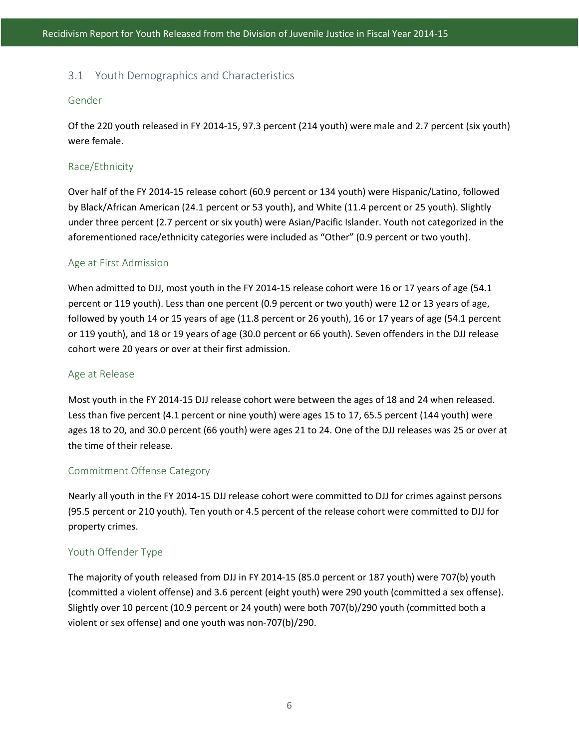#### <span id="page-16-0"></span>3.1 Youth Demographics and Characteristics

#### Gender

Of the 220 youth released in FY 2014-15, 97.3 percent (214 youth) were male and 2.7 percent (six youth) were female.

#### Race/Ethnicity

Over half of the FY 2014-15 release cohort (60.9 percent or 134 youth) were Hispanic/Latino, followed by Black/African American (24.1 percent or 53 youth), and White (11.4 percent or 25 youth). Slightly under three percent (2.7 percent or six youth) were Asian/Pacific Islander. Youth not categorized in the aforementioned race/ethnicity categories were included as "Other" (0.9 percent or two youth).

#### Age at First Admission

When admitted to DJJ, most youth in the FY 2014-15 release cohort were 16 or 17 years of age (54.1 percent or 119 youth). Less than one percent (0.9 percent or two youth) were 12 or 13 years of age, followed by youth 14 or 15 years of age (11.8 percent or 26 youth), 16 or 17 years of age (54.1 percent or 119 youth), and 18 or 19 years of age (30.0 percent or 66 youth). Seven offenders in the DJJ release cohort were 20 years or over at their first admission.

#### Age at Release

Most youth in the FY 2014-15 DJJ release cohort were between the ages of 18 and 24 when released. Less than five percent (4.1 percent or nine youth) were ages 15 to 17, 65.5 percent (144 youth) were ages 18 to 20, and 30.0 percent (66 youth) were ages 21 to 24. One of the DJJ releases was 25 or over at the time of their release.

#### Commitment Offense Category

Nearly all youth in the FY 2014-15 DJJ release cohort were committed to DJJ for crimes against persons (95.5 percent or 210 youth). Ten youth or 4.5 percent of the release cohort were committed to DJJ for property crimes.

#### Youth Offender Type

The majority of youth released from DJJ in FY 2014-15 (85.0 percent or 187 youth) were 707(b) youth (committed a violent offense) and 3.6 percent (eight youth) were 290 youth (committed a sex offense). Slightly over 10 percent (10.9 percent or 24 youth) were both 707(b)/290 youth (committed both a violent or sex offense) and one youth was non-707(b)/290.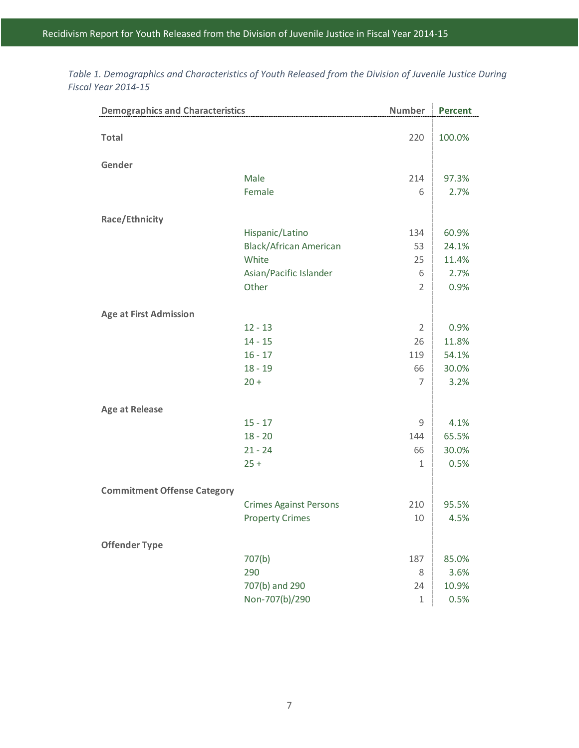| <b>Demographics and Characteristics</b> |                               | <b>Number</b>  | <b>Percent</b> |
|-----------------------------------------|-------------------------------|----------------|----------------|
| <b>Total</b>                            |                               | 220            | 100.0%         |
| Gender                                  |                               |                |                |
|                                         | Male                          | 214            | 97.3%          |
|                                         | Female                        | 6              | 2.7%           |
| Race/Ethnicity                          |                               |                |                |
|                                         | Hispanic/Latino               | 134            | 60.9%          |
|                                         | <b>Black/African American</b> | 53             | 24.1%          |
|                                         | White                         | 25             | 11.4%          |
|                                         | Asian/Pacific Islander        | 6              | 2.7%           |
|                                         | Other                         | $\overline{2}$ | 0.9%           |
| <b>Age at First Admission</b>           |                               |                |                |
|                                         | $12 - 13$                     | $\overline{2}$ | 0.9%           |
|                                         | $14 - 15$                     | 26             | 11.8%          |
|                                         | $16 - 17$                     | 119            | 54.1%          |
|                                         | $18 - 19$                     | 66             | 30.0%          |
|                                         | $20 +$                        | 7              | 3.2%           |
| <b>Age at Release</b>                   |                               |                |                |
|                                         | $15 - 17$                     | 9              | 4.1%           |
|                                         | $18 - 20$                     | 144            | 65.5%          |
|                                         | $21 - 24$                     | 66             | 30.0%          |
|                                         | $25 +$                        | $\mathbf{1}$   | 0.5%           |
| <b>Commitment Offense Category</b>      |                               |                |                |
|                                         | <b>Crimes Against Persons</b> | 210            | 95.5%          |
|                                         | <b>Property Crimes</b>        | 10             | 4.5%           |
| <b>Offender Type</b>                    |                               |                |                |
|                                         | 707(b)                        | 187            | 85.0%          |
|                                         | 290                           | 8              | 3.6%           |
|                                         | 707(b) and 290                | 24             | 10.9%          |
|                                         | Non-707(b)/290                | $1\,$          | 0.5%           |

<span id="page-17-0"></span>*Table 1. Demographics and Characteristics of Youth Released from the Division of Juvenile Justice During Fiscal Year 2014-15*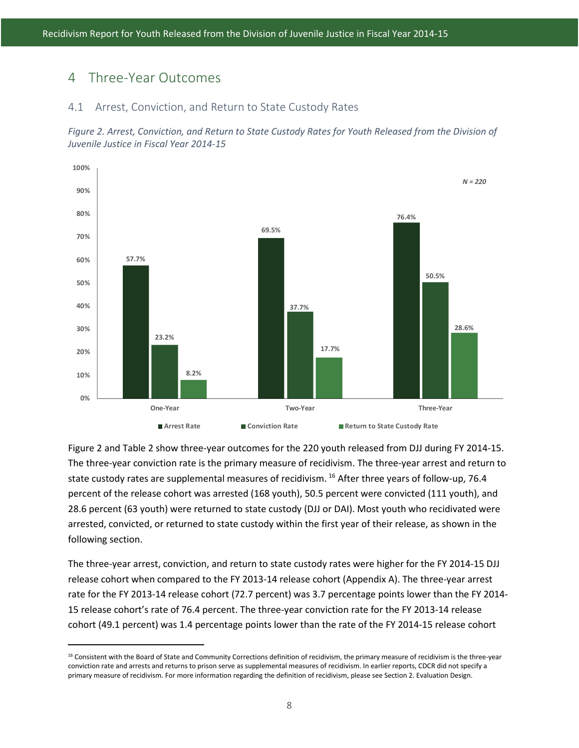### <span id="page-18-0"></span>4 Three-Year Outcomes

 $\overline{\phantom{a}}$ 

#### <span id="page-18-1"></span>4.1 Arrest, Conviction, and Return to State Custody Rates

<span id="page-18-2"></span>



Figure 2 and Table 2 show three-year outcomes for the 220 youth released from DJJ during FY 2014-15. The three-year conviction rate is the primary measure of recidivism. The three-year arrest and return to state custody rates are supplemental measures of recidivism. <sup>[16](#page-18-3)</sup> After three years of follow-up, 76.4 percent of the release cohort was arrested (168 youth), 50.5 percent were convicted (111 youth), and 28.6 percent (63 youth) were returned to state custody (DJJ or DAI). Most youth who recidivated were arrested, convicted, or returned to state custody within the first year of their release, as shown in the following section.

The three-year arrest, conviction, and return to state custody rates were higher for the FY 2014-15 DJJ release cohort when compared to the FY 2013-14 release cohort (Appendix A). The three-year arrest rate for the FY 2013-14 release cohort (72.7 percent) was 3.7 percentage points lower than the FY 2014- 15 release cohort's rate of 76.4 percent. The three-year conviction rate for the FY 2013-14 release cohort (49.1 percent) was 1.4 percentage points lower than the rate of the FY 2014-15 release cohort

<span id="page-18-3"></span><sup>&</sup>lt;sup>16</sup> Consistent with the Board of State and Community Corrections definition of recidivism, the primary measure of recidivism is the three-year conviction rate and arrests and returns to prison serve as supplemental measures of recidivism. In earlier reports, CDCR did not specify a primary measure of recidivism. For more information regarding the definition of recidivism, please see Section 2. Evaluation Design.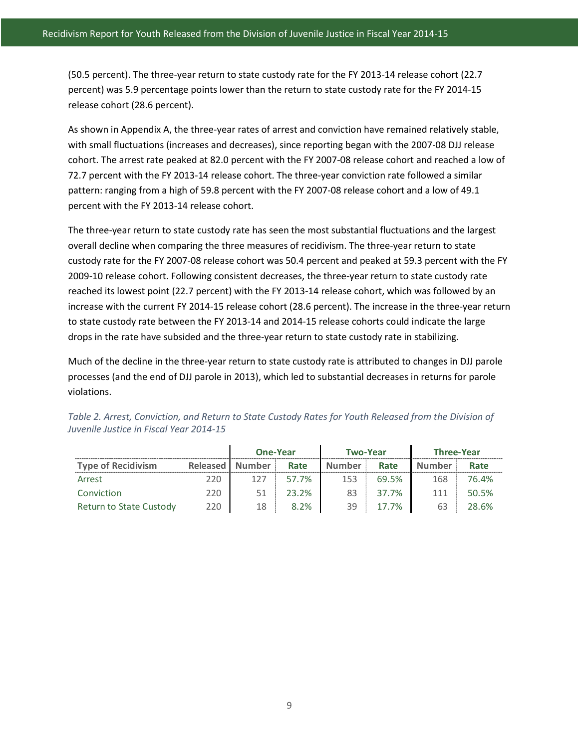(50.5 percent). The three-year return to state custody rate for the FY 2013-14 release cohort (22.7 percent) was 5.9 percentage points lower than the return to state custody rate for the FY 2014-15 release cohort (28.6 percent).

As shown in Appendix A, the three-year rates of arrest and conviction have remained relatively stable, with small fluctuations (increases and decreases), since reporting began with the 2007-08 DJJ release cohort. The arrest rate peaked at 82.0 percent with the FY 2007-08 release cohort and reached a low of 72.7 percent with the FY 2013-14 release cohort. The three-year conviction rate followed a similar pattern: ranging from a high of 59.8 percent with the FY 2007-08 release cohort and a low of 49.1 percent with the FY 2013-14 release cohort.

The three-year return to state custody rate has seen the most substantial fluctuations and the largest overall decline when comparing the three measures of recidivism. The three-year return to state custody rate for the FY 2007-08 release cohort was 50.4 percent and peaked at 59.3 percent with the FY 2009-10 release cohort. Following consistent decreases, the three-year return to state custody rate reached its lowest point (22.7 percent) with the FY 2013-14 release cohort, which was followed by an increase with the current FY 2014-15 release cohort (28.6 percent). The increase in the three-year return to state custody rate between the FY 2013-14 and 2014-15 release cohorts could indicate the large drops in the rate have subsided and the three-year return to state custody rate in stabilizing.

Much of the decline in the three-year return to state custody rate is attributed to changes in DJJ parole processes (and the end of DJJ parole in 2013), which led to substantial decreases in returns for parole violations.

|                           | <b>One-Year</b>   |               |       | <b>Two-Year</b> | <b>Three-Year</b> |               |       |
|---------------------------|-------------------|---------------|-------|-----------------|-------------------|---------------|-------|
| <b>Type of Recidivism</b> | <b>Released</b> I | <b>Number</b> | Rate  | <b>Number</b>   | Rate              | <b>Number</b> | Rate  |
| Arrest                    | 220               | 127           | 57.7% | 153             | 69.5%             | 168           | 76.4% |
| Conviction                | 220               |               | 23.2% | 83              | 37.7%             | 111           | 50.5% |
| Return to State Custody   | 220               | 18            | 8.2%  | 39              | 17.7%             | 63            | 28.6% |

<span id="page-19-0"></span>

| Table 2. Arrest, Conviction, and Return to State Custody Rates for Youth Released from the Division of |  |  |
|--------------------------------------------------------------------------------------------------------|--|--|
| Juvenile Justice in Fiscal Year 2014-15                                                                |  |  |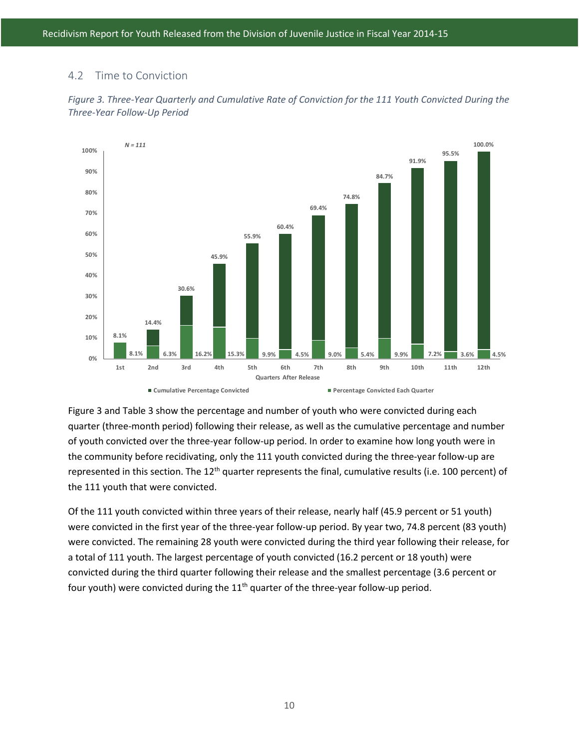### <span id="page-20-0"></span>4.2 Time to Conviction



<span id="page-20-1"></span>*Figure 3. Three-Year Quarterly and Cumulative Rate of Conviction for the 111 Youth Convicted During the Three-Year Follow-Up Period*

Figure 3 and Table 3 show the percentage and number of youth who were convicted during each quarter (three-month period) following their release, as well as the cumulative percentage and number of youth convicted over the three-year follow-up period. In order to examine how long youth were in the community before recidivating, only the 111 youth convicted during the three-year follow-up are represented in this section. The 12<sup>th</sup> quarter represents the final, cumulative results (i.e. 100 percent) of the 111 youth that were convicted.

Of the 111 youth convicted within three years of their release, nearly half (45.9 percent or 51 youth) were convicted in the first year of the three-year follow-up period. By year two, 74.8 percent (83 youth) were convicted. The remaining 28 youth were convicted during the third year following their release, for a total of 111 youth. The largest percentage of youth convicted (16.2 percent or 18 youth) were convicted during the third quarter following their release and the smallest percentage (3.6 percent or four youth) were convicted during the  $11<sup>th</sup>$  quarter of the three-year follow-up period.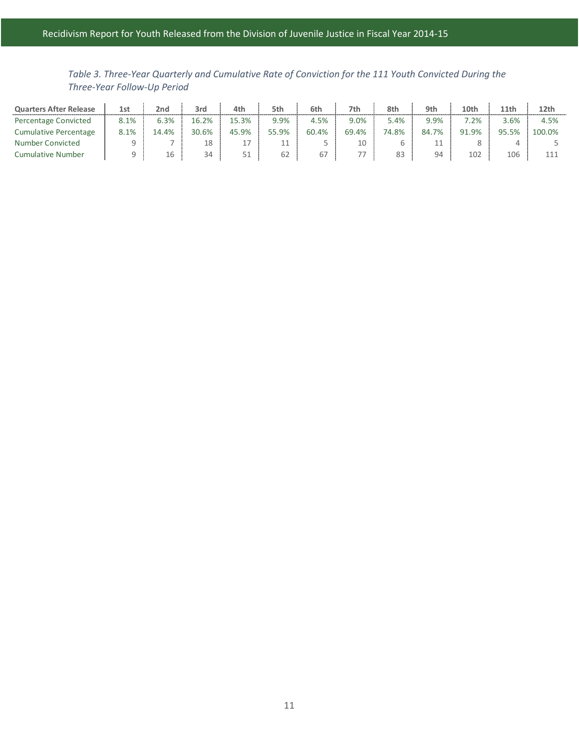<span id="page-21-0"></span>*Table 3. Three-Year Quarterly and Cumulative Rate of Conviction for the 111 Youth Convicted During the Three-Year Follow-Up Period*

| <b>Quarters After Release</b> | 1st     | 2nd  | 3rd   | 4th   | 5th   | 6th   | 7th   | 8th   | 9th       | 10th    | 11th  | 12th   |
|-------------------------------|---------|------|-------|-------|-------|-------|-------|-------|-----------|---------|-------|--------|
| Percentage Convicted          | $8.1\%$ | 3.3% | 16.2% | 5.3%  | 9.9%  | 4.5%  | 9.0%  | 5.4%  | 9.9%      | $7.2\%$ | 3.6%  | 4.5%   |
| <b>Cumulative Percentage</b>  | 8.1%    | 4.4% | 30.6% | 45.9% | 55.9% | 60.4% | 69.4% | 74.8% | 7%<br>84. | 91.9%   | 95.5% | 100.0% |
| Number Convicted              |         |      | 18    |       |       |       |       |       |           |         |       |        |
| Cumulative Number             |         | 16   | 34    | ᄃ 1   | 62    | 67    |       |       | 94        | 102     | 106   |        |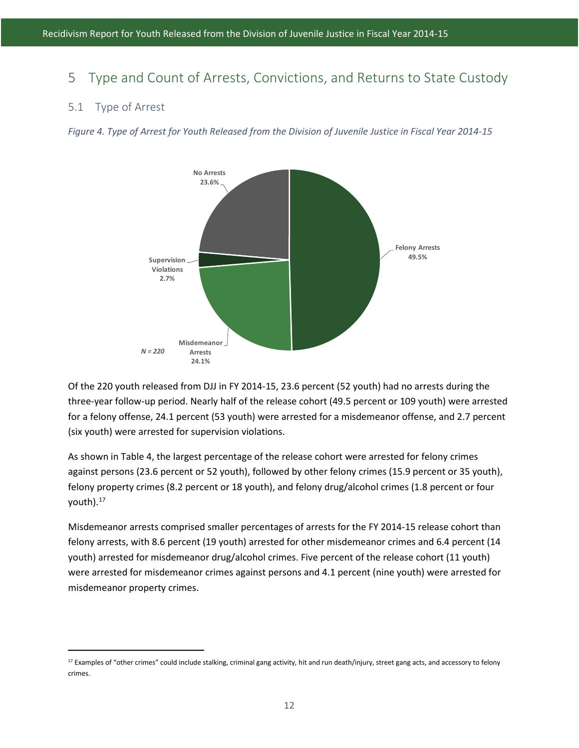# <span id="page-22-0"></span>5 Type and Count of Arrests, Convictions, and Returns to State Custody

#### <span id="page-22-1"></span>5.1 Type of Arrest

l

<span id="page-22-2"></span>*Figure 4. Type of Arrest for Youth Released from the Division of Juvenile Justice in Fiscal Year 2014-15*



Of the 220 youth released from DJJ in FY 2014-15, 23.6 percent (52 youth) had no arrests during the three-year follow-up period. Nearly half of the release cohort (49.5 percent or 109 youth) were arrested for a felony offense, 24.1 percent (53 youth) were arrested for a misdemeanor offense, and 2.7 percent (six youth) were arrested for supervision violations.

As shown in Table 4, the largest percentage of the release cohort were arrested for felony crimes against persons (23.6 percent or 52 youth), followed by other felony crimes (15.9 percent or 35 youth), felony property crimes (8.2 percent or 18 youth), and felony drug/alcohol crimes (1.8 percent or four youth).<sup>[17](#page-22-3)</sup>

Misdemeanor arrests comprised smaller percentages of arrests for the FY 2014-15 release cohort than felony arrests, with 8.6 percent (19 youth) arrested for other misdemeanor crimes and 6.4 percent (14 youth) arrested for misdemeanor drug/alcohol crimes. Five percent of the release cohort (11 youth) were arrested for misdemeanor crimes against persons and 4.1 percent (nine youth) were arrested for misdemeanor property crimes.

<span id="page-22-3"></span><sup>&</sup>lt;sup>17</sup> Examples of "other crimes" could include stalking, criminal gang activity, hit and run death/injury, street gang acts, and accessory to felony crimes.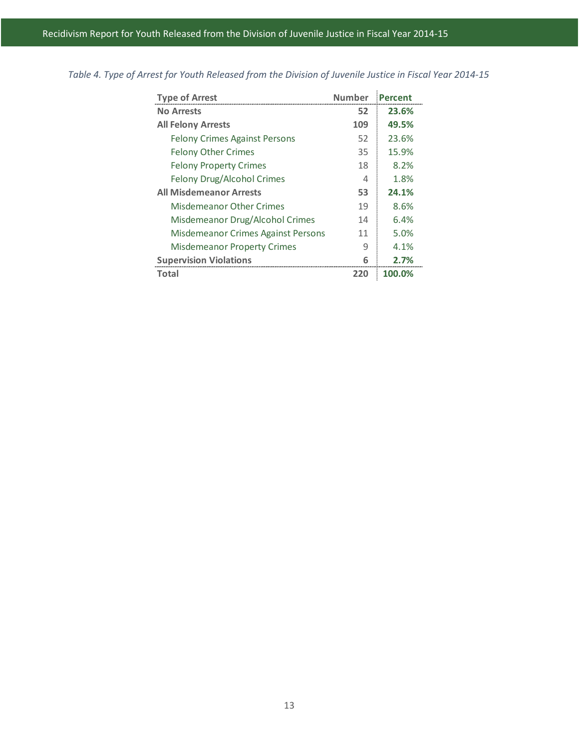| <b>Type of Arrest</b>                | <b>Number</b> | <b>Percent</b> |
|--------------------------------------|---------------|----------------|
| <b>No Arrests</b>                    | 52            | 23.6%          |
| <b>All Felony Arrests</b>            | 109           | 49.5%          |
| <b>Felony Crimes Against Persons</b> | 52            | 23.6%          |
| <b>Felony Other Crimes</b>           | 35            | 15.9%          |
| <b>Felony Property Crimes</b>        | 18            | 8.2%           |
| Felony Drug/Alcohol Crimes           | 4             | 1.8%           |
| <b>All Misdemeanor Arrests</b>       | 53            | 24.1%          |
| Misdemeanor Other Crimes             | 19            | 8.6%           |
| Misdemeanor Drug/Alcohol Crimes      | 14            | 6.4%           |
| Misdemeanor Crimes Against Persons   | 11            | 5.0%           |
| <b>Misdemeanor Property Crimes</b>   | 9             | 4.1%           |
| <b>Supervision Violations</b>        | 6             | 2.7%           |
| Total                                | 220           | 100.0%         |

<span id="page-23-0"></span>*Table 4. Type of Arrest for Youth Released from the Division of Juvenile Justice in Fiscal Year 2014-15*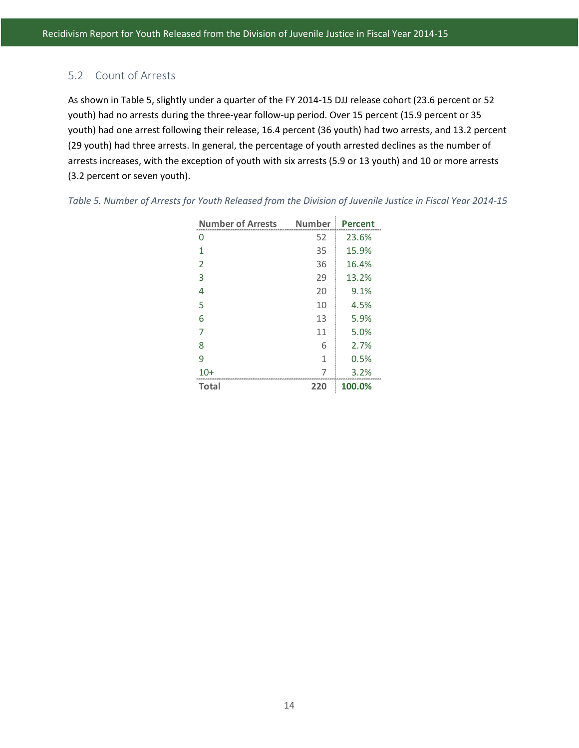### <span id="page-24-0"></span>5.2 Count of Arrests

As shown in Table 5, slightly under a quarter of the FY 2014-15 DJJ release cohort (23.6 percent or 52 youth) had no arrests during the three-year follow-up period. Over 15 percent (15.9 percent or 35 youth) had one arrest following their release, 16.4 percent (36 youth) had two arrests, and 13.2 percent (29 youth) had three arrests. In general, the percentage of youth arrested declines as the number of arrests increases, with the exception of youth with six arrests (5.9 or 13 youth) and 10 or more arrests (3.2 percent or seven youth).

| <b>Number of Arrests</b> | <b>Number</b> | Percent |
|--------------------------|---------------|---------|
| 0                        | 52            | 23.6%   |
| 1                        | 35            | 15.9%   |
| 2                        | 36            | 16.4%   |
| 3                        | 29            | 13.2%   |
| 4                        | 20            | 9.1%    |
| 5                        | 10            | 4.5%    |
| 6                        | 13            | 5.9%    |
|                          | 11            | 5.0%    |
| 8                        | 6             | 2.7%    |
| ٩                        | 1             | 0.5%    |
| 10+                      |               | 3.2%    |
| Total                    | 220           | 100.0%  |

<span id="page-24-1"></span>*Table 5. Number of Arrests for Youth Released from the Division of Juvenile Justice in Fiscal Year 2014-15*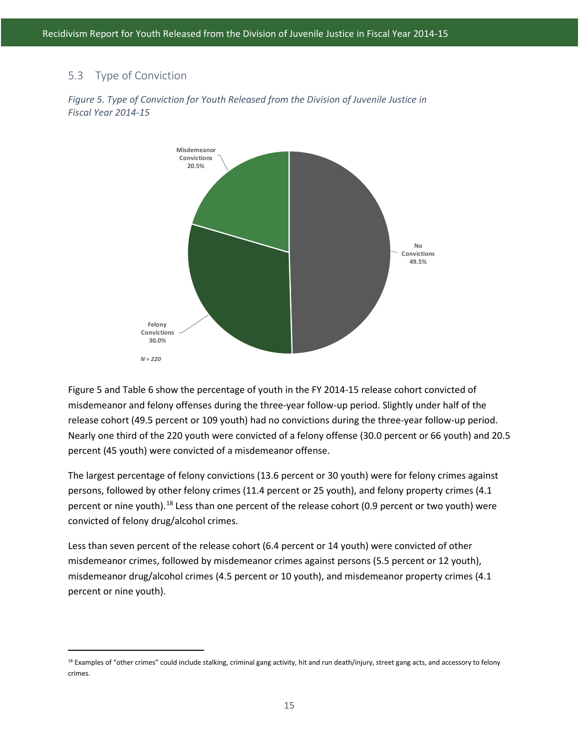#### <span id="page-25-0"></span>5.3 Type of Conviction

l



<span id="page-25-1"></span>*Figure 5. Type of Conviction for Youth Released from the Division of Juvenile Justice in Fiscal Year 2014-15*

Figure 5 and Table 6 show the percentage of youth in the FY 2014-15 release cohort convicted of misdemeanor and felony offenses during the three-year follow-up period. Slightly under half of the release cohort (49.5 percent or 109 youth) had no convictions during the three-year follow-up period. Nearly one third of the 220 youth were convicted of a felony offense (30.0 percent or 66 youth) and 20.5 percent (45 youth) were convicted of a misdemeanor offense.

The largest percentage of felony convictions (13.6 percent or 30 youth) were for felony crimes against persons, followed by other felony crimes (11.4 percent or 25 youth), and felony property crimes (4.1 percent or nine youth).<sup>[18](#page-25-2)</sup> Less than one percent of the release cohort (0.9 percent or two youth) were convicted of felony drug/alcohol crimes.

Less than seven percent of the release cohort (6.4 percent or 14 youth) were convicted of other misdemeanor crimes, followed by misdemeanor crimes against persons (5.5 percent or 12 youth), misdemeanor drug/alcohol crimes (4.5 percent or 10 youth), and misdemeanor property crimes (4.1 percent or nine youth).

<span id="page-25-2"></span><sup>&</sup>lt;sup>18</sup> Examples of "other crimes" could include stalking, criminal gang activity, hit and run death/injury, street gang acts, and accessory to felony crimes.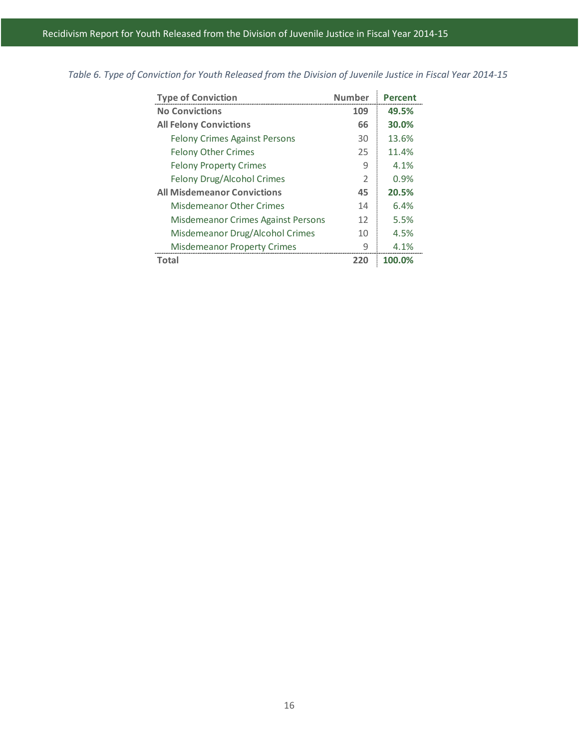| <b>Type of Conviction</b>            | <b>Number</b>  | Percent |
|--------------------------------------|----------------|---------|
| <b>No Convictions</b>                | 109            | 49.5%   |
| <b>All Felony Convictions</b>        | 66             | 30.0%   |
| <b>Felony Crimes Against Persons</b> | 30             | 13.6%   |
| <b>Felony Other Crimes</b>           | 25             | 11.4%   |
| <b>Felony Property Crimes</b>        | 9              | 4.1%    |
| Felony Drug/Alcohol Crimes           | $\overline{2}$ | 0.9%    |
| <b>All Misdemeanor Convictions</b>   | 45             | 20.5%   |
| <b>Misdemeanor Other Crimes</b>      | 14             | 6.4%    |
| Misdemeanor Crimes Against Persons   | 12             | 5.5%    |
| Misdemeanor Drug/Alcohol Crimes      | 10             | 4.5%    |
| <b>Misdemeanor Property Crimes</b>   | 9              | 4.1%    |
| Total                                | 220            | 100.0%  |

<span id="page-26-0"></span>*Table 6. Type of Conviction for Youth Released from the Division of Juvenile Justice in Fiscal Year 2014-15*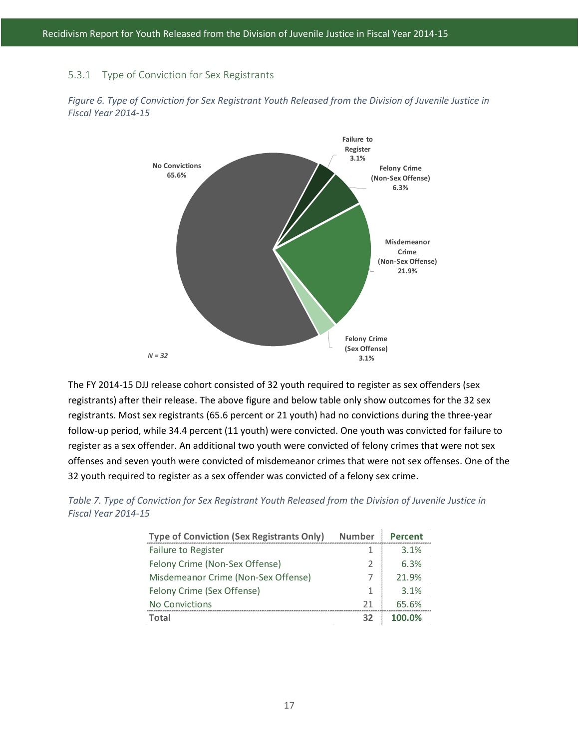#### <span id="page-27-0"></span>5.3.1 Type of Conviction for Sex Registrants



<span id="page-27-2"></span>*Figure 6. Type of Conviction for Sex Registrant Youth Released from the Division of Juvenile Justice in Fiscal Year 2014-15*

The FY 2014-15 DJJ release cohort consisted of 32 youth required to register as sex offenders (sex registrants) after their release. The above figure and below table only show outcomes for the 32 sex registrants. Most sex registrants (65.6 percent or 21 youth) had no convictions during the three-year follow-up period, while 34.4 percent (11 youth) were convicted. One youth was convicted for failure to register as a sex offender. An additional two youth were convicted of felony crimes that were not sex offenses and seven youth were convicted of misdemeanor crimes that were not sex offenses. One of the 32 youth required to register as a sex offender was convicted of a felony sex crime.

| <b>Type of Conviction (Sex Registrants Only)</b> | <b>Number</b> | Percent |
|--------------------------------------------------|---------------|---------|
| <b>Failure to Register</b>                       |               | 3.1%    |
| Felony Crime (Non-Sex Offense)                   |               | 6.3%    |
| Misdemeanor Crime (Non-Sex Offense)              |               | 21.9%   |
| Felony Crime (Sex Offense)                       |               | 3.1%    |
| <b>No Convictions</b>                            |               |         |

**Total 32 100.0%**

<span id="page-27-1"></span>

| Table 7. Type of Conviction for Sex Registrant Youth Released from the Division of Juvenile Justice in |  |  |
|--------------------------------------------------------------------------------------------------------|--|--|
| Fiscal Year 2014-15                                                                                    |  |  |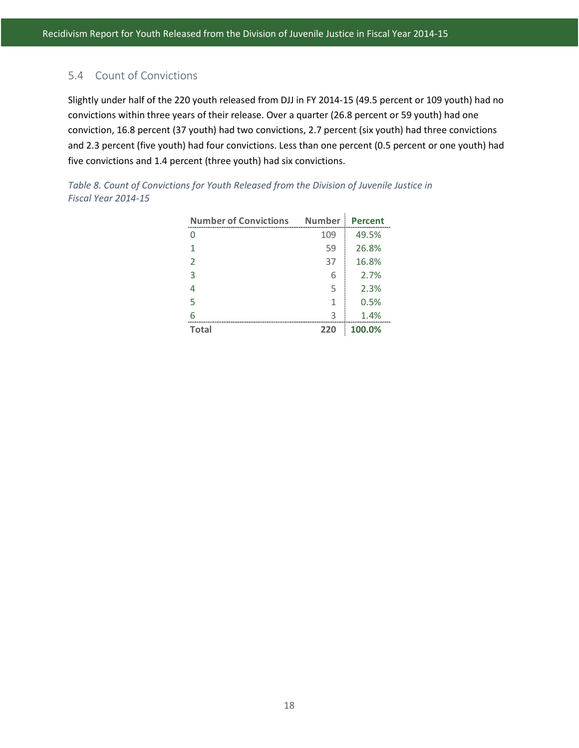### <span id="page-28-0"></span>5.4 Count of Convictions

Slightly under half of the 220 youth released from DJJ in FY 2014-15 (49.5 percent or 109 youth) had no convictions within three years of their release. Over a quarter (26.8 percent or 59 youth) had one conviction, 16.8 percent (37 youth) had two convictions, 2.7 percent (six youth) had three convictions and 2.3 percent (five youth) had four convictions. Less than one percent (0.5 percent or one youth) had five convictions and 1.4 percent (three youth) had six convictions.

<span id="page-28-1"></span>

| Table 8. Count of Convictions for Youth Released from the Division of Juvenile Justice in |  |
|-------------------------------------------------------------------------------------------|--|
| Fiscal Year 2014-15                                                                       |  |

| <b>Number of Convictions</b> | <b>Number</b> | <b>Percent</b> |
|------------------------------|---------------|----------------|
|                              | 109           | 49.5%          |
|                              | 59            | 26.8%          |
| $\mathcal{P}$                | 37            | 16.8%          |
| 3                            | 6             | 2.7%           |
|                              | 5             | 2.3%           |
| 5                            | 1             | 0.5%           |
|                              | っ             | 1.4%           |
| <b>Total</b>                 | 220           | 100.0%         |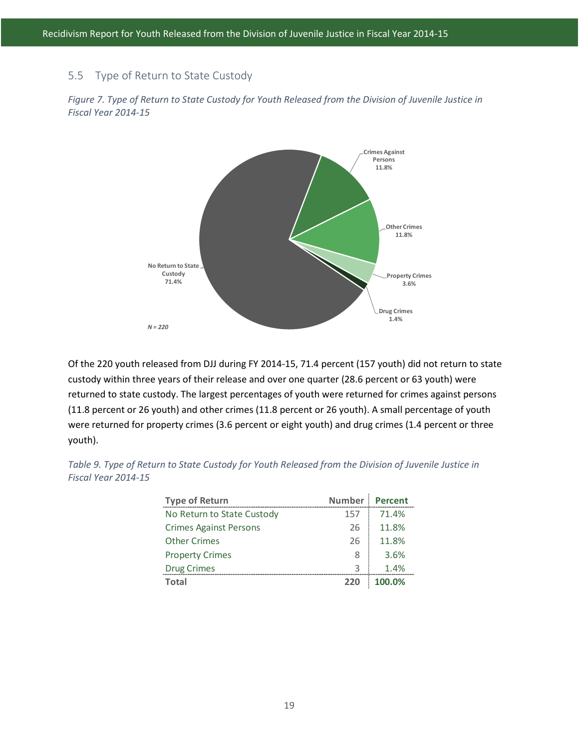#### <span id="page-29-0"></span>5.5 Type of Return to State Custody



<span id="page-29-2"></span>*Figure 7. Type of Return to State Custody for Youth Released from the Division of Juvenile Justice in Fiscal Year 2014-15*

Of the 220 youth released from DJJ during FY 2014-15, 71.4 percent (157 youth) did not return to state custody within three years of their release and over one quarter (28.6 percent or 63 youth) were returned to state custody. The largest percentages of youth were returned for crimes against persons (11.8 percent or 26 youth) and other crimes (11.8 percent or 26 youth). A small percentage of youth were returned for property crimes (3.6 percent or eight youth) and drug crimes (1.4 percent or three youth).

<span id="page-29-1"></span>

| Table 9. Type of Return to State Custody for Youth Released from the Division of Juvenile Justice in |                |        |  |
|------------------------------------------------------------------------------------------------------|----------------|--------|--|
| Fiscal Year 2014-15                                                                                  |                |        |  |
|                                                                                                      |                |        |  |
| <b>Type of Return</b>                                                                                | Number Percent |        |  |
| No Poturn to State Custody                                                                           | 15フー           | 71 104 |  |

| <b>Type of Return</b>         | <b>Number</b> | <b>Percent</b> |
|-------------------------------|---------------|----------------|
| No Return to State Custody    | 157           | 71.4%          |
| <b>Crimes Against Persons</b> | 26            | 11.8%          |
| <b>Other Crimes</b>           | 26            | 11.8%          |
| <b>Property Crimes</b>        | 8             | 3.6%           |
| <b>Drug Crimes</b>            | 3             | 1.4%           |
| Total                         | 220           | 100.0%         |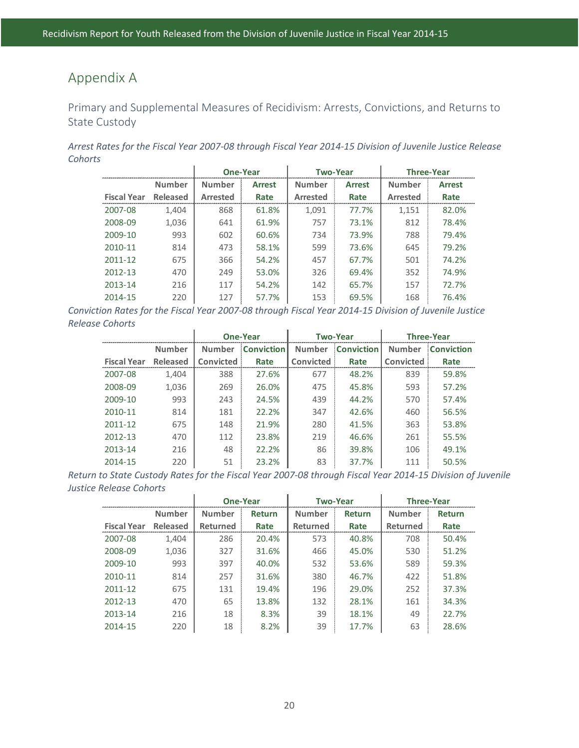# <span id="page-30-0"></span>Appendix A

<span id="page-30-1"></span>Primary and Supplemental Measures of Recidivism: Arrests, Convictions, and Returns to State Custody

*Arrest Rates for the Fiscal Year 2007-08 through Fiscal Year 2014-15 Division of Juvenile Justice Release Cohorts*  $\overline{1}$ 

|                    |                 | <b>One-Year</b><br><b>Two-Year</b> |               |                 | <b>Three-Year</b> |                 |               |
|--------------------|-----------------|------------------------------------|---------------|-----------------|-------------------|-----------------|---------------|
|                    | <b>Number</b>   | <b>Number</b>                      | <b>Arrest</b> | <b>Number</b>   | <b>Arrest</b>     | <b>Number</b>   | <b>Arrest</b> |
| <b>Fiscal Year</b> | <b>Released</b> | <b>Arrested</b>                    | Rate          | <b>Arrested</b> | Rate              | <b>Arrested</b> | Rate          |
| 2007-08            | 1,404           | 868                                | 61.8%         | 1,091           | 77.7%             | 1,151           | 82.0%         |
| 2008-09            | 1,036           | 641                                | 61.9%         | 757             | 73.1%             | 812             | 78.4%         |
| 2009-10            | 993             | 602                                | 60.6%         | 734             | 73.9%             | 788             | 79.4%         |
| 2010-11            | 814             | 473                                | 58.1%         | 599             | 73.6%             | 645             | 79.2%         |
| 2011-12            | 675             | 366                                | 54.2%         | 457             | 67.7%             | 501             | 74.2%         |
| 2012-13            | 470             | 249                                | 53.0%         | 326             | 69.4%             | 352             | 74.9%         |
| 2013-14            | 216             | 117                                | 54.2%         | 142             | 65.7%             | 157             | 72.7%         |
| 2014-15            | 220             | 127                                | 57.7%         | 153             | 69.5%             | 168             | 76.4%         |

*Conviction Rates for the Fiscal Year 2007-08 through Fiscal Year 2014-15 Division of Juvenile Justice Release Cohorts* à.  $\mathbf{r}$  $\mathbf{r}$ 

|                    |               | <b>One-Year</b> |                   | <b>Two-Year</b> |                   | <b>Three-Year</b> |                   |
|--------------------|---------------|-----------------|-------------------|-----------------|-------------------|-------------------|-------------------|
|                    | <b>Number</b> | <b>Number</b>   | <b>Conviction</b> | <b>Number</b>   | <b>Conviction</b> | <b>Number</b>     | <b>Conviction</b> |
| <b>Fiscal Year</b> | Released      | Convicted       | Rate              | Convicted       | Rate              | Convicted         | Rate              |
| 2007-08            | 1,404         | 388             | 27.6%             | 677             | 48.2%             | 839               | 59.8%             |
| 2008-09            | 1,036         | 269             | 26.0%             | 475             | 45.8%             | 593               | 57.2%             |
| 2009-10            | 993           | 243             | 24.5%             | 439             | 44.2%             | 570               | 57.4%             |
| 2010-11            | 814           | 181             | 22.2%             | 347             | 42.6%             | 460               | 56.5%             |
| 2011-12            | 675           | 148             | 21.9%             | 280             | 41.5%             | 363               | 53.8%             |
| 2012-13            | 470           | 112             | 23.8%             | 219             | 46.6%             | 261               | 55.5%             |
| 2013-14            | 216           | 48              | 22.2%             | 86              | 39.8%             | 106               | 49.1%             |
| 2014-15            | 220           | 51              | 23.2%             | 83              | 37.7%             | 111               | 50.5%             |

*Return to State Custody Rates for the Fiscal Year 2007-08 through Fiscal Year 2014-15 Division of Juvenile Justice Release Cohorts*

|                    |               | <b>One-Year</b> |               | <b>Two-Year</b> |               | <b>Three-Year</b> |               |
|--------------------|---------------|-----------------|---------------|-----------------|---------------|-------------------|---------------|
|                    | <b>Number</b> | <b>Number</b>   | <b>Return</b> | <b>Number</b>   | <b>Return</b> | <b>Number</b>     | <b>Return</b> |
| <b>Fiscal Year</b> | Released      | Returned        | Rate          | <b>Returned</b> | Rate          | <b>Returned</b>   | Rate          |
| 2007-08            | 1,404         | 286             | 20.4%         | 573             | 40.8%         | 708               | 50.4%         |
| 2008-09            | 1,036         | 327             | 31.6%         | 466             | 45.0%         | 530               | 51.2%         |
| 2009-10            | 993           | 397             | 40.0%         | 532             | 53.6%         | 589               | 59.3%         |
| 2010-11            | 814           | 257             | 31.6%         | 380             | 46.7%         | 422               | 51.8%         |
| 2011-12            | 675           | 131             | 19.4%         | 196             | 29.0%         | 252               | 37.3%         |
| 2012-13            | 470           | 65              | 13.8%         | 132             | 28.1%         | 161               | 34.3%         |
| 2013-14            | 216           | 18              | 8.3%          | 39              | 18.1%         | 49                | 22.7%         |
| 2014-15            | 220           | 18              | 8.2%          | 39              | 17.7%         | 63                | 28.6%         |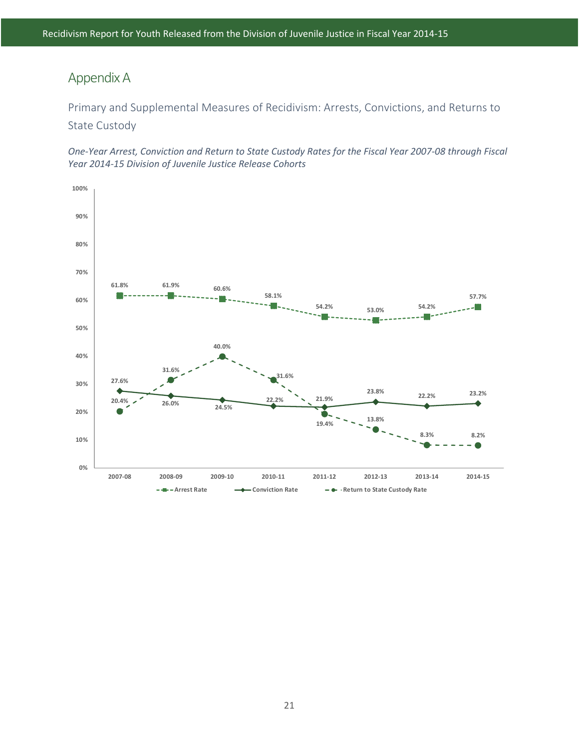# Appendix A

Primary and Supplemental Measures of Recidivism: Arrests, Convictions, and Returns to State Custody

*One-Year Arrest, Conviction and Return to State Custody Rates for the Fiscal Year 2007-08 through Fiscal Year 2014-15 Division of Juvenile Justice Release Cohorts*

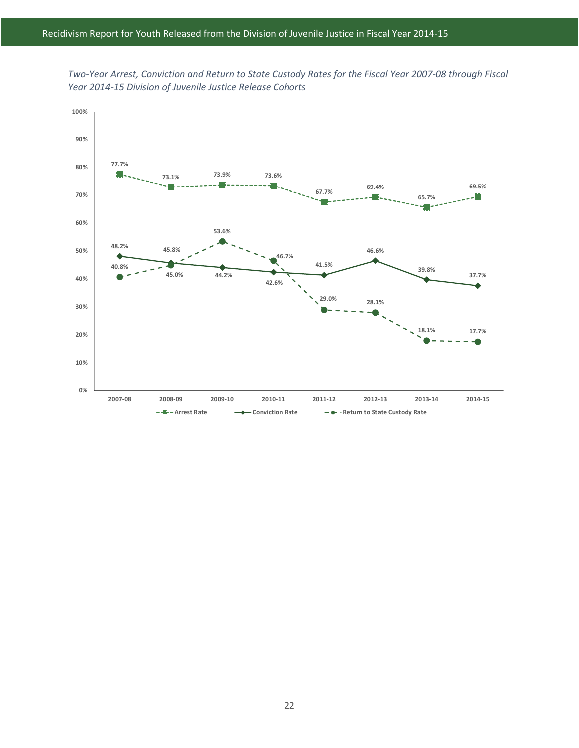

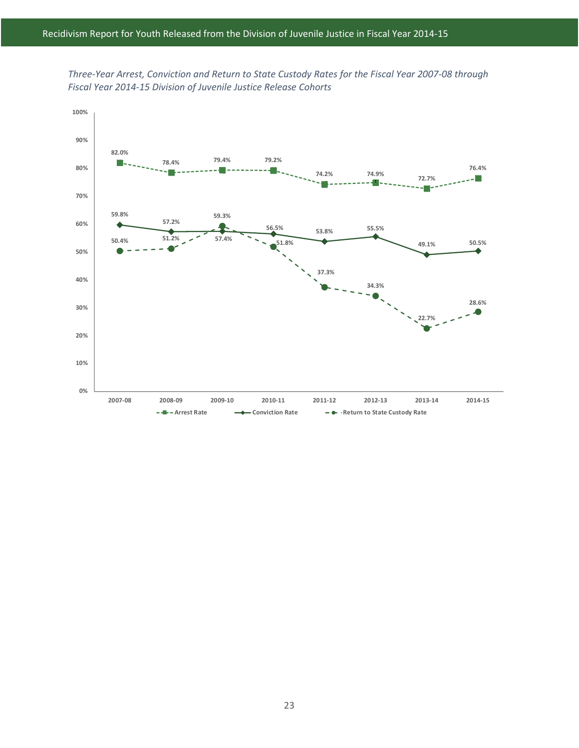

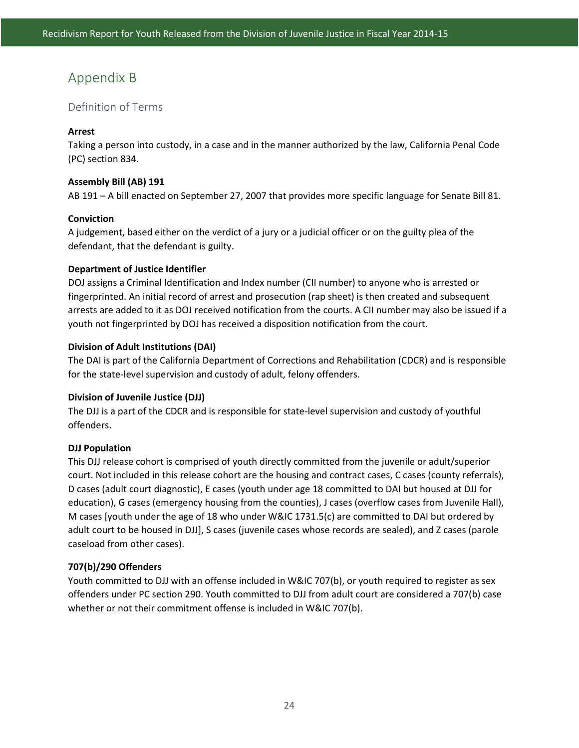# <span id="page-34-0"></span>Appendix B

#### <span id="page-34-1"></span>Definition of Terms

#### **Arrest**

Taking a person into custody, in a case and in the manner authorized by the law, California Penal Code (PC) section 834.

#### **Assembly Bill (AB) 191**

AB 191 – A bill enacted on September 27, 2007 that provides more specific language for Senate Bill 81.

#### **Conviction**

A judgement, based either on the verdict of a jury or a judicial officer or on the guilty plea of the defendant, that the defendant is guilty.

#### **Department of Justice Identifier**

DOJ assigns a Criminal Identification and Index number (CII number) to anyone who is arrested or fingerprinted. An initial record of arrest and prosecution (rap sheet) is then created and subsequent arrests are added to it as DOJ received notification from the courts. A CII number may also be issued if a youth not fingerprinted by DOJ has received a disposition notification from the court.

#### **Division of Adult Institutions (DAI)**

The DAI is part of the California Department of Corrections and Rehabilitation (CDCR) and is responsible for the state-level supervision and custody of adult, felony offenders.

#### **Division of Juvenile Justice (DJJ)**

The DJJ is a part of the CDCR and is responsible for state-level supervision and custody of youthful offenders.

#### **DJJ Population**

This DJJ release cohort is comprised of youth directly committed from the juvenile or adult/superior court. Not included in this release cohort are the housing and contract cases, C cases (county referrals), D cases (adult court diagnostic), E cases (youth under age 18 committed to DAI but housed at DJJ for education), G cases (emergency housing from the counties), J cases (overflow cases from Juvenile Hall), M cases [youth under the age of 18 who under W&IC 1731.5(c) are committed to DAI but ordered by adult court to be housed in DJJ], S cases (juvenile cases whose records are sealed), and Z cases (parole caseload from other cases).

#### **707(b)/290 Offenders**

Youth committed to DJJ with an offense included in W&IC 707(b), or youth required to register as sex offenders under PC section 290. Youth committed to DJJ from adult court are considered a 707(b) case whether or not their commitment offense is included in W&IC 707(b).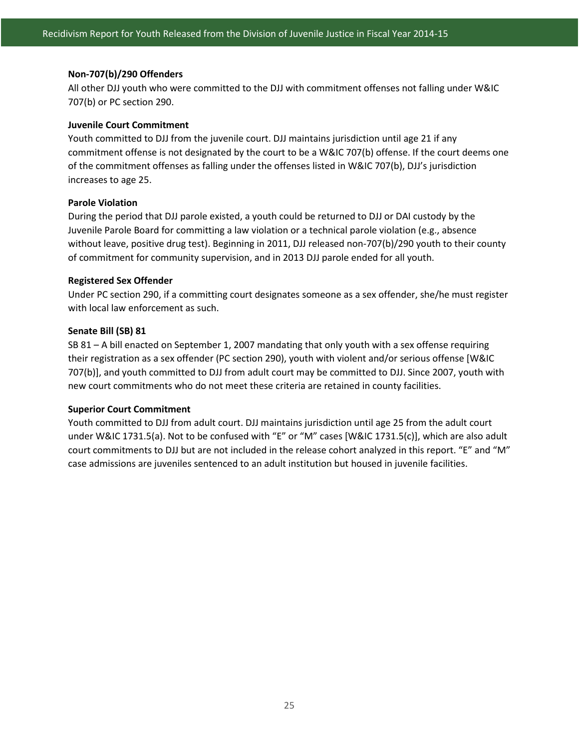#### **Non-707(b)/290 Offenders**

All other DJJ youth who were committed to the DJJ with commitment offenses not falling under W&IC 707(b) or PC section 290.

#### **Juvenile Court Commitment**

Youth committed to DJJ from the juvenile court. DJJ maintains jurisdiction until age 21 if any commitment offense is not designated by the court to be a W&IC 707(b) offense. If the court deems one of the commitment offenses as falling under the offenses listed in W&IC 707(b), DJJ's jurisdiction increases to age 25.

#### **Parole Violation**

During the period that DJJ parole existed, a youth could be returned to DJJ or DAI custody by the Juvenile Parole Board for committing a law violation or a technical parole violation (e.g., absence without leave, positive drug test). Beginning in 2011, DJJ released non-707(b)/290 youth to their county of commitment for community supervision, and in 2013 DJJ parole ended for all youth.

#### **Registered Sex Offender**

Under PC section 290, if a committing court designates someone as a sex offender, she/he must register with local law enforcement as such.

#### **Senate Bill (SB) 81**

SB 81 – A bill enacted on September 1, 2007 mandating that only youth with a sex offense requiring their registration as a sex offender (PC section 290), youth with violent and/or serious offense [W&IC 707(b)], and youth committed to DJJ from adult court may be committed to DJJ. Since 2007, youth with new court commitments who do not meet these criteria are retained in county facilities.

#### **Superior Court Commitment**

Youth committed to DJJ from adult court. DJJ maintains jurisdiction until age 25 from the adult court under W&IC 1731.5(a). Not to be confused with "E" or "M" cases [W&IC 1731.5(c)], which are also adult court commitments to DJJ but are not included in the release cohort analyzed in this report. "E" and "M" case admissions are juveniles sentenced to an adult institution but housed in juvenile facilities.